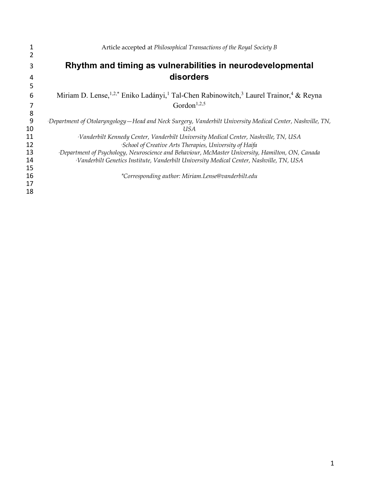|    | Article accepted at Philosophical Transactions of the Royal Society B                                                                 |
|----|---------------------------------------------------------------------------------------------------------------------------------------|
|    |                                                                                                                                       |
| 3  | Rhythm and timing as vulnerabilities in neurodevelopmental                                                                            |
| 4  | disorders                                                                                                                             |
| 5  |                                                                                                                                       |
| 6  | Miriam D. Lense, <sup>1,2,*</sup> Eniko Ladányi, <sup>1</sup> Tal-Chen Rabinowitch, <sup>3</sup> Laurel Trainor, <sup>4</sup> & Reyna |
| 7  | Gordon <sup>1,2,5</sup>                                                                                                               |
| 8  |                                                                                                                                       |
| 9  | Department of Otolaryngology – Head and Neck Surgery, Vanderbilt University Medical Center, Nashville, TN,                            |
| 10 | US A                                                                                                                                  |
| 11 | <sup>2</sup> Vanderbilt Kennedy Center, Vanderbilt University Medical Center, Nashville, TN, USA                                      |
| 12 | <sup>5</sup> School of Creative Arts Therapies, University of Haifa                                                                   |
| 13 | Department of Psychology, Neuroscience and Behaviour, McMaster University, Hamilton, ON, Canada                                       |
| 14 | <sup>5</sup> Vanderbilt Genetics Institute, Vanderbilt University Medical Center, Nashville, TN, USA                                  |
| 15 |                                                                                                                                       |
| 16 | *Corresponding author: Miriam.Lense@vanderbilt.edu                                                                                    |
| 17 |                                                                                                                                       |
| 18 |                                                                                                                                       |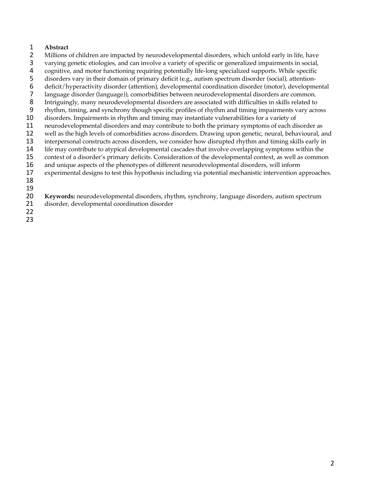# **Abstract**

- 2 Millions of children are impacted by neurodevelopmental disorders, which unfold early in life, have<br>3 varying genetic etiologies, and can involve a variety of specific or generalized impairments in social,
- varying genetic etiologies, and can involve a variety of specific or generalized impairments in social,
- 4 cognitive, and motor functioning requiring potentially life-long specialized supports. While specific<br>5 disorders vary in their domain of primary deficit (e.g., autism spectrum disorder (social), attention-
- 5 disorders vary in their domain of primary deficit (e.g., autism spectrum disorder (social), attention-<br>6 deficit/hyperactivity disorder (attention), developmental coordination disorder (motor), developmental
- deficit/hyperactivity disorder (attention), developmental coordination disorder (motor), developmental
- 7 language disorder (language)), comorbidities between neurodevelopmental disorders are common.<br>8 Intriguingly, many neurodevelopmental disorders are associated with difficulties in skills related to
- Intriguingly, many neurodevelopmental disorders are associated with difficulties in skills related to
- rhythm, timing, and synchrony though specific profiles of rhythm and timing impairments vary across
- disorders. Impairments in rhythm and timing may instantiate vulnerabilities for a variety of
- 11 neurodevelopmental disorders and may contribute to both the primary symptoms of each disorder as<br>12 well as the high levels of comorbidities across disorders. Drawing upon genetic, neural, behavioural, a
- 12 well as the high levels of comorbidities across disorders. Drawing upon genetic, neural, behavioural, and<br>13 interpersonal constructs across disorders, we consider how disrupted rhythm and timing skills early in
- interpersonal constructs across disorders, we consider how disrupted rhythm and timing skills early in
- life may contribute to atypical developmental cascades that involve overlapping symptoms within the context of a disorder's primary deficits. Consideration of the developmental context, as well as common
- and unique aspects of the phenotypes of different neurodevelopmental disorders, will inform
- experimental designs to test this hypothesis including via potential mechanistic intervention approaches.
- 

 **Keywords:** neurodevelopmental disorders, rhythm, synchrony, language disorders, autism spectrum disorder, developmental coordination disorder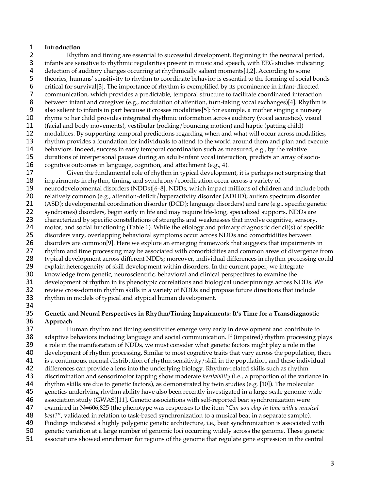## **Introduction**

2 Rhythm and timing are essential to successful development. Beginning in the neonatal period,<br>3 infants are sensitive to rhythmic regularities present in music and speech, with EEG studies indicating infants are sensitive to rhythmic regularities present in music and speech, with EEG studies indicating 4 detection of auditory changes occurring at rhythmically salient moments[1,2]. According to some<br>5 theories, humans' sensitivity to rhythm to coordinate behavior is essential to the forming of social 5 theories, humans' sensitivity to rhythm to coordinate behavior is essential to the forming of social bonds<br>6 critical for survival [3]. The importance of rhythm is exemplified by its prominence in infant-directed critical for survival[3]. The importance of rhythm is exemplified by its prominence in infant-directed communication, which provides a predictable, temporal structure to facilitate coordinated interaction 8 between infant and caregiver (e.g., modulation of attention, turn-taking vocal exchanges)[4]. Rhythm is also salient to infants in part because it crosses modalities[5]: for example, a mother singing a nursery rhyme to her child provides integrated rhythmic information across auditory (vocal acoustics), visual 11 (facial and body movements), vestibular (rocking/bouncing motion) and haptic (patting child)<br>12 modalities. By supporting temporal predictions regarding when and what will occur across mo 12 modalities. By supporting temporal predictions regarding when and what will occur across modalities,<br>13 rhythm provides a foundation for individuals to attend to the world around them and plan and execute rhythm provides a foundation for individuals to attend to the world around them and plan and execute behaviors. Indeed, success in early temporal coordination such as measured, e.g., by the relative durations of interpersonal pauses during an adult-infant vocal interaction, predicts an array of socio-cognitive outcomes in language, cognition, and attachment (e.g., 4).

 Given the fundamental role of rhythm in typical development, it is perhaps not surprising that impairments in rhythm, timing, and synchrony/coordination occur across a variety of neurodevelopmental disorders (NDDs)[6–8]. NDDs, which impact millions of children and include both 20 relatively common (e.g., attention-deficit/hyperactivity disorder (ADHD); autism spectrum disorder (ASD); developmental coordination disorder (DCD); language disorders) and rare (e.g., specific genet (ASD); developmental coordination disorder (DCD); language disorders) and rare (e.g., specific genetic syndromes) disorders, begin early in life and may require life-long, specialized supports. NDDs are 23 characterized by specific constellations of strengths and weaknesses that involve cognitive, sensory, motor, and social functioning (Table 1). While the etiology and primary diagnostic deficit(s) of specific disorders vary, overlapping behavioral symptoms occur across NDDs and comorbidities between disorders are common[9]. Here we explore an emerging framework that suggests that impairments in 27 rhythm and time processing may be associated with comorbidities and common areas of divergence from<br>28 typical development across different NDDs; moreover, individual differences in rhythm processing could typical development across different NDDs; moreover, individual differences in rhythm processing could explain heterogeneity of skill development within disorders. In the current paper, we integrate knowledge from genetic, neuroscientific, behavioral and clinical perspectives to examine the development of rhythm in its phenotypic correlations and biological underpinnings across NDDs. We review cross-domain rhythm skills in a variety of NDDs and propose future directions that include

rhythm in models of typical and atypical human development.

## 34<br>35 **Genetic and Neural Perspectives in Rhythm/Timing Impairments: It's Time for a Transdiagnostic Approach**

 Human rhythm and timing sensitivities emerge very early in development and contribute to 38 adaptive behaviors including language and social communication. If (impaired) rhythm processing plays a role in the manifestation of NDDs, we must consider what genetic factors might play a role in the development of rhythm processing. Similar to most cognitive traits that vary across the population, there 41 is a continuous, normal distribution of rhythm sensitivity/skill in the population, and these individual<br>42 differences can provide a lens into the underlying biology. Rhythm-related skills such as rhythm differences can provide a lens into the underlying biology. Rhythm-related skills such as rhythm discrimination and sensorimotor tapping show moderate *heritability* (i.e., a proportion of the variance in rhythm skills are due to genetic factors), as demonstrated by twin studies (e.g. [10]). The molecular genetics underlying rhythm ability have also been recently investigated in a large-scale genome-wide association study (GWAS)[11]. Genetic associations with self-reported beat synchronization were examined in N=606,825 (the phenotype was responses to the item "*Can you clap in time with a musical beat?"*, validated in relation to task-based synchronization to a musical beat in a separate sample).<br>49 Findings indicated a highly polygenic genetic architecture, i.e., beat synchronization is associated Findings indicated a highly polygenic genetic architecture, i.e., beat synchronization is associated with genetic variation at a large number of genomic loci occurring widely across the genome. These genetic associations showed enrichment for regions of the genome that regulate gene expression in the central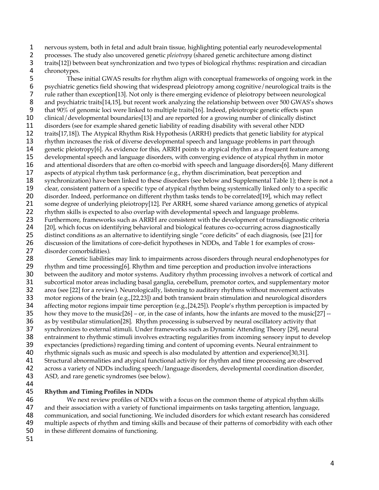nervous system, both in fetal and adult brain tissue, highlighting potential early neurodevelopmental

 processes. The study also uncovered genetic *pleiotropy* (shared genetic architecture among distinct traits[12]) between beat synchronization and two types of biological rhythms: respiration and circadian

4 chronotypes.<br>5 These 5 These initial GWAS results for rhythm align with conceptual frameworks of ongoing work in the psychiatric genetics field showing that widespread pleiotropy among cognitive/neurological traits is the psychiatric genetics field showing that widespread pleiotropy among cognitive/neurological traits is the rule rather than exception[13]. Not only is there emerging evidence of pleiotropy between neurological 8 and psychiatric traits[14,15], but recent work analyzing the relationship between over 500 GWAS's shows that 90% of genomic loci were linked to multiple traits[16]. Indeed, pleiotropic genetic effects span clinical/developmental boundaries[13] and are reported for a growing number of clinically distinct 11 disorders (see for example shared genetic liability of reading disability with several other NDD<br>12 traits[17,18]). The Atypical Rhythm Risk Hypothesis (ARRH) predicts that genetic liability for a 12 traits[17,18]). The Atypical Rhythm Risk Hypothesis (ARRH) predicts that genetic liability for atypical<br>13 rhythm increases the risk of diverse developmental speech and language problems in part through rhythm increases the risk of diverse developmental speech and language problems in part through genetic pleiotropy[6]. As evidence for this, ARRH points to atypical rhythm as a frequent feature among developmental speech and language disorders, with converging evidence of atypical rhythm in motor and attentional disorders that are often co-morbid with speech and language disorders[6]. Many different aspects of atypical rhythm task performance (e.g., rhythm discrimination, beat perception and synchronization) have been linked to these disorders (see below and Supplemental Table 1); there is not a clear, consistent pattern of a specific type of atypical rhythm being systemically linked only to a specific 20 disorder. Indeed, performance on different rhythm tasks tends to be correlated[19], which may reflect<br>21 some degree of underlying pleiotropy[12]. Per ARRH, some shared variance among genetics of atypical some degree of underlying pleiotropy[12]. Per ARRH, some shared variance among genetics of atypical 22 rhythm skills is expected to also overlap with developmental speech and language problems. Furthermore, frameworks such as ARRH are consistent with the development of transdiagnostic criteria 24 [20], which focus on identifying behavioral and biological features co-occurring across diagnostically distinct conditions as an alternative to identifying single "core deficits" of each diagnosis, (see [21] for discussion of the limitations of core-deficit hypotheses in NDDs, and Table 1 for examples of cross-

27 disorder comorbidities).<br>28 Genetic liabilitie Genetic liabilities may link to impairments across disorders through neural endophenotypes for rhythm and time processing[6]. Rhythm and time perception and production involve interactions between the auditory and motor systems. Auditory rhythm processing involves a network of cortical and subcortical motor areas including basal ganglia, cerebellum, premotor cortex, and supplementary motor area (see [22] for a review). Neurologically, listening to auditory rhythms without movement activates motor regions of the brain (e.g.,[22,23]) and both transient brain stimulation and neurological disorders 34 affecting motor regions impair time perception (e.g., [24,25]). People's rhythm perception is impacted by<br>35 how they move to the music[26] – or, in the case of infants, how the infants are moved to the music[27] -how they move to the music $[26]$  – or, in the case of infants, how the infants are moved to the music $[27]$  -- as by vestibular stimulation[28]. Rhythm processing is subserved by neural oscillatory activity that synchronizes to external stimuli. Under frameworks such as Dynamic Attending Theory [29], neural entrainment to rhythmic stimuli involves extracting regularities from incoming sensory input to develop expectancies (predictions) regarding timing and content of upcoming events. Neural entrainment to rhythmic signals such as music and speech is also modulated by attention and experience[30,31]. 41 Structural abnormalities and atypical functional activity for rhythm and time processing are observed<br>42 across a variety of NDDs including speech/language disorders, developmental coordination disorder, across a variety of NDDs including speech/language disorders, developmental coordination disorder, ASD, and rare genetic syndromes (see below).

## **Rhythm and Timing Profiles in NDDs**

 We next review profiles of NDDs with a focus on the common theme of atypical rhythm skills and their association with a variety of functional impairments on tasks targeting attention, language, 48 communication, and social functioning. We included disorders for which extant research has considered<br>49 multiple aspects of rhythm and timing skills and because of their patterns of comorbidity with each other multiple aspects of rhythm and timing skills and because of their patterns of comorbidity with each other in these different domains of functioning.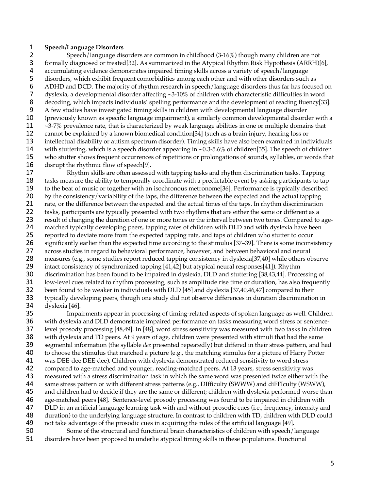### **Speech/Language Disorders**

2 Speech/language disorders are common in childhood (3-16%) though many children are not<br>3 formally diagnosed or treated[32]. As summarized in the Atypical Rhythm Risk Hypothesis (ARRH)[ formally diagnosed or treated[32]. As summarized in the Atypical Rhythm Risk Hypothesis (ARRH)[6], 4 accumulating evidence demonstrates impaired timing skills across a variety of speech/language<br>5 disorders, which exhibit frequent comorbidities among each other and with other disorders such 5 disorders, which exhibit frequent comorbidities among each other and with other disorders such as<br>6 ADHD and DCD. The majority of rhythm research in speech/language disorders thus far has focuse ADHD and DCD. The majority of rhythm research in speech/language disorders thus far has focused on dyslexia, a developmental disorder affecting ~3-10% of children with characteristic difficulties in word decoding, which impacts individuals' spelling performance and the development of reading fluency[33]. A few studies have investigated timing skills in children with developmental language disorder (previously known as specific language impairment), a similarly common developmental disorder with a  $\sim$ 3-7% prevalence rate, that is characterized by weak language abilities in one or multiple domains that<br>12 cannot be explained by a known biomedical condition [34] (such as a brain injury, hearing loss or 12 cannot be explained by a known biomedical condition[34] (such as a brain injury, hearing loss or<br>13 intellectual disability or autism spectrum disorder). Timing skills have also been examined in ind intellectual disability or autism spectrum disorder). Timing skills have also been examined in individuals with stuttering, which is a speech disorder appearing in ~0.3-5.6% of children[35]. The speech of children who stutter shows frequent occurrences of repetitions or prolongations of sounds, syllables, or words that disrupt the rhythmic flow of speech[9].

 Rhythm skills are often assessed with tapping tasks and rhythm discrimination tasks. Tapping tasks measure the ability to temporally coordinate with a predictable event by asking participants to tap to the beat of music or together with an isochronous metronome[36]. Performance is typically described by the consistency/variability of the taps, the difference between the expected and the actual tapping rate, or the difference between the expected and the actual times of the taps. In rhythm discrimination 22 tasks, participants are typically presented with two rhythms that are either the same or different as a result of changing the duration of one or more tones or the interval between two tones. Compared to age- matched typically developing peers, tapping rates of children with DLD and with dyslexia have been reported to deviate more from the expected tapping rate, and taps of children who stutter to occur significantly earlier than the expected time according to the stimulus [37–39]. There is some inconsistency 27 across studies in regard to behavioral performance, however, and between behavioral and neural<br>28 measures (e.g., some studies report reduced tapping consistency in dyslexia[37,40] while others ob measures (e.g., some studies report reduced tapping consistency in dyslexia[37,40] while others observe intact consistency of synchronized tapping [41,42] but atypical neural responses[41]). Rhythm discrimination has been found to be impaired in dyslexia, DLD and stuttering [38,43,44]. Processing of low-level cues related to rhythm processing, such as amplitude rise time or duration, has also frequently been found to be weaker in individuals with DLD [45] and dyslexia [37,40,46,47] compared to their typically developing peers, though one study did not observe differences in duration discrimination in

 dyslexia [46].<br>**35** Impa Impairments appear in processing of timing-related aspects of spoken language as well. Children with dyslexia and DLD demonstrate impaired performance on tasks measuring word stress or sentence- level prosody processing [48,49]. In [48], word stress sensitivity was measured with two tasks in children with dyslexia and TD peers. At 9 years of age, children were presented with stimuli that had the same segmental information (the syllable *dee* presented repeatedly) but differed in their stress pattern, and had to choose the stimulus that matched a picture (e.g., the matching stimulus for a picture of Harry Potter 41 was DEE-dee DEE-dee). Children with dyslexia demonstrated reduced sensitivity to word stress<br>42 compared to age-matched and younger, reading-matched peers. At 13 years, stress sensitivity wa compared to age-matched and younger, reading-matched peers. At 13 years, stress sensitivity was measured with a stress discrimination task in which the same word was presented twice either with the 44 same stress pattern or with different stress patterns (e.g., DIfficulty (SWWW) and diFFIculty (WSWW), and children had to decide if they are the same or different; children with dyslexia performed worse than age-matched peers [48]. Sentence-level prosody processing was found to be impaired in children with DLD in an artificial language learning task with and without prosodic cues (i.e., frequency, intensity and 48 duration) to the underlying language structure. In contrast to children with TD, children with DLD could<br>49 not take advantage of the prosodic cues in acquiring the rules of the artificial language [49]. 49 not take advantage of the prosodic cues in acquiring the rules of the artificial language [49].<br>50 Some of the structural and functional brain characteristics of children with speech/l Some of the structural and functional brain characteristics of children with speech/language

disorders have been proposed to underlie atypical timing skills in these populations. Functional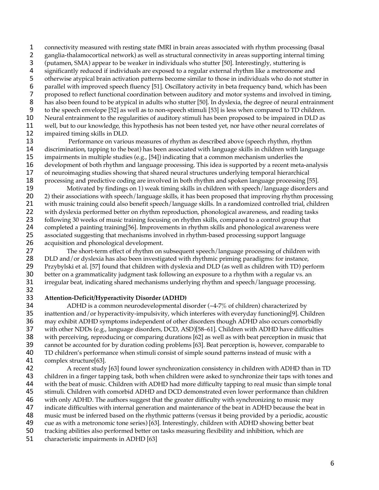connectivity measured with resting state fMRI in brain areas associated with rhythm processing (basal

- 2 ganglia-thalamocortical network) as well as structural connectivity in areas supporting internal timing<br>3 (putamen, SMA) appear to be weaker in individuals who stutter [50]. Interestingly, stuttering is
- (putamen, SMA) appear to be weaker in individuals who stutter [50]. Interestingly, stuttering is
- 4 significantly reduced if individuals are exposed to a regular external rhythm like a metronome and<br>5 otherwise atypical brain activation patterns become similar to those in individuals who do not stutte
- 5 otherwise atypical brain activation patterns become similar to those in individuals who do not stutter in<br>6 parallel with improved speech fluency [51]. Oscillatory activity in beta frequency band, which has been
- parallel with improved speech fluency [51]. Oscillatory activity in beta frequency band, which has been
- proposed to reflect functional coordination between auditory and motor systems and involved in timing, 8 has also been found to be atypical in adults who stutter [50]. In dyslexia, the degree of neural entrainment
- to the speech envelope [52] as well as to non-speech stimuli [53] is less when compared to TD children.
- Neural entrainment to the regularities of auditory stimuli has been proposed to be impaired in DLD as
- 11 well, but to our knowledge, this hypothesis has not been tested yet, nor have other neural correlates of<br>12 impaired timing skills in DLD.
- 12 impaired timing skills in DLD.<br>13 Performance on variou
- Performance on various measures of rhythm as described above (speech rhythm, rhythm discrimination, tapping to the beat) has been associated with language skills in children with language impairments in multiple studies (e.g., [54]) indicating that a common mechanism underlies the development of both rhythm and language processing. This idea is supported by a recent meta-analysis of neuroimaging studies showing that shared neural structures underlying temporal hierarchical 18 processing and predictive coding are involved in both rhythm and spoken language processing [55].
- Motivated by findings on 1) weak timing skills in children with speech/language disorders and 20 2) their associations with speech/language skills, it has been proposed that improving rhythm processing with music training could also benefit speech/language skills. In a randomized controlled trial, children 22 with dyslexia performed better on rhythm reproduction, phonological awareness, and reading tasks following 30 weeks of music training focusing on rhythm skills, compared to a control group that 24 completed a painting training[56]. Improvements in rhythm skills and phonological awareness were<br>25 associated suggesting that mechanisms involved in rhythm-based processing support language associated suggesting that mechanisms involved in rhythm-based processing support language acquisition and phonological development.
- 27 The short-term effect of rhythm on subsequent speech/language processing of children with 28 DLD and/or dyslexia has also been investigated with rhythmic priming paradigms: for instance, DLD and/or dyslexia has also been investigated with rhythmic priming paradigms: for instance, Przybylski et al. [57] found that children with dyslexia and DLD (as well as children with TD) perform better on a grammaticality judgment task following an exposure to a rhythm with a regular vs. an irregular beat, indicating shared mechanisms underlying rhythm and speech/language processing.
- **Attention-Deficit/Hyperactivity Disorder (ADHD)**
- 34 ADHD is a common neurodevelopmental disorder  $(\sim4-7\%$  of children) characterized by<br>35 inattention and/or hyperactivity-impulsivity, which interferes with everyday functioning[9]. Ch inattention and/or hyperactivity-impulsivity, which interferes with everyday functioning[9]. Children may exhibit ADHD symptoms independent of other disorders though ADHD also occurs comorbidly with other NDDs (e.g., language disorders, DCD, ASD)[58–61]. Children with ADHD have difficulties with perceiving, reproducing or comparing durations [62] as well as with beat perception in music that cannot be accounted for by duration coding problems [63]. Beat perception is, however, comparable to TD children's performance when stimuli consist of simple sound patterns instead of music with a
- 41 complex structure[63].<br>42 A recent study A recent study [63] found lower synchronization consistency in children with ADHD than in TD children in a finger tapping task, both when children were asked to synchronize their taps with tones and with the beat of music. Children with ADHD had more difficulty tapping to real music than simple tonal stimuli. Children with comorbid ADHD and DCD demonstrated even lower performance than children with only ADHD. The authors suggest that the greater difficulty with synchronizing to music may indicate difficulties with internal generation and maintenance of the beat in ADHD because the beat in 48 music must be inferred based on the rhythmic patterns (versus it being provided by a periodic, acoustic<br>49 cue as with a metronomic tone series) [63]. Interestingly, children with ADHD showing better beat 49 cue as with a metronomic tone series) [63]. Interestingly, children with ADHD showing better beat<br>50 tracking abilities also performed better on tasks measuring flexibility and inhibition, which are
- tracking abilities also performed better on tasks measuring flexibility and inhibition, which are
- characteristic impairments in ADHD [63]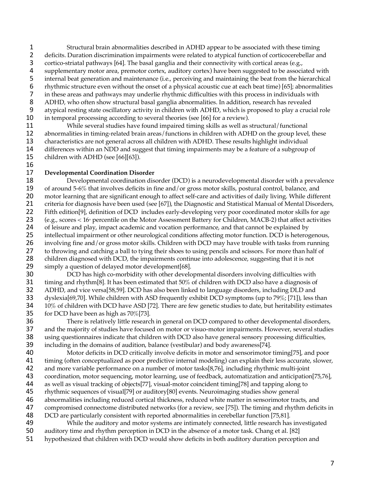Structural brain abnormalities described in ADHD appear to be associated with these timing 2 deficits. Duration discrimination impairments were related to atypical function of corticocerebellar and<br>3 cortico-striatal pathways [64]. The basal ganglia and their connectivity with cortical areas (e.g., cortico-striatal pathways [64]. The basal ganglia and their connectivity with cortical areas (e.g., 4 supplementary motor area, premotor cortex, auditory cortex) have been suggested to be associated with<br>5 internal beat generation and maintenance (i.e., perceiving and maintaining the beat from the hierarchical internal beat generation and maintenance (i.e., perceiving and maintaining the beat from the hierarchical rhythmic structure even without the onset of a physical acoustic cue at each beat time) [65]; abnormalities in these areas and pathways may underlie rhythmic difficulties with this process in individuals with ADHD, who often show structural basal ganglia abnormalities. In addition, research has revealed atypical resting state oscillatory activity in children with ADHD, which is proposed to play a crucial role in temporal processing according to several theories (see [66] for a review).

11 While several studies have found impaired timing skills as well as structural/functional<br>12 abnormalities in timing-related brain areas/functions in children with ADHD on the group level 12 abnormalities in timing-related brain areas/functions in children with ADHD on the group level, these<br>13 characteristics are not general across all children with ADHD. These results highlight individual characteristics are not general across all children with ADHD. These results highlight individual differences within an NDD and suggest that timing impairments may be a feature of a subgroup of children with ADHD (see [66][63]).

## **Developmental Coordination Disorder**

 Developmental coordination disorder (DCD) is a neurodevelopmental disorder with a prevalence of around 5-6% that involves deficits in fine and/or gross motor skills, postural control, balance, and motor learning that are significant enough to affect self-care and activities of daily living. While different criteria for diagnosis have been used (see [67]), the Diagnostic and Statistical Manual of Mental Disorders, Fifth edition[9], definition of DCD includes early-developing very poor coordinated motor skills for age 23 (e.g., scores  $< 16<sup>th</sup>$  percentile on the Motor Assessment Battery for Children, MACB-2) that affect activities 24 of leisure and play, impact academic and vocation performance, and that cannot be explained by 25 intellectual impairment or other neurological conditions affecting motor function. DCD is heterogenous, involving fine and/or gross motor skills. Children with DCD may have trouble with tasks from running 27 to throwing and catching a ball to tying their shoes to using pencils and scissors. For more than half of children diagnosed with DCD, the impairments continue into adolescence, suggesting that it is not children diagnosed with DCD, the impairments continue into adolescence, suggesting that it is not simply a question of delayed motor development[68].

 DCD has high co-morbidity with other developmental disorders involving difficulties with timing and rhythm[8]. It has been estimated that 50% of children with DCD also have a diagnosis of ADHD, and vice versa[58,59]. DCD has also been linked to language disorders, including DLD and dyslexia[69,70]. While children with ASD frequently exhibit DCD symptoms (up to 79%; [71]), less than 34 10% of children with DCD have ASD [72]. There are few genetic studies to date, but heritability estimates for DCD have been as high as 70%[73]. for DCD have been as high as  $70\%/73$ .

 There is relatively little research in general on DCD compared to other developmental disorders, and the majority of studies have focused on motor or visuo-motor impairments. However, several studies using questionnaires indicate that children with DCD also have general sensory processing difficulties, including in the domains of audition, balance (vestibular) and body awareness[74].

 Motor deficits in DCD critically involve deficits in motor and sensorimotor timing[75], and poor 41 timing (often conceptualized as poor predictive internal modeling) can explain their less accurate, slower,<br>42 and more variable performance on a number of motor tasks[8,76], including rhythmic multi-joint and more variable performance on a number of motor tasks[8,76], including rhythmic multi-joint coordination, motor sequencing, motor learning, use of feedback, automatization and anticipation[75,76], as well as visual tracking of objects[77], visual-motor coincident timing[78] and tapping along to rhythmic sequences of visual[79] or auditory[80] events. Neuroimaging studies show general

abnormalities including reduced cortical thickness, reduced white matter in sensorimotor tracts, and

 compromised connectome distributed networks (for a review, see [75]). The timing and rhythm deficits in 48 DCD are particularly consistent with reported abnormalities in cerebellar function [75,81].<br>49 While the auditory and motor systems are intimately connected. little research has

While the auditory and motor systems are intimately connected, little research has investigated auditory time and rhythm perception in DCD in the absence of a motor task. Chang et al. [82] hypothesized that children with DCD would show deficits in both auditory duration perception and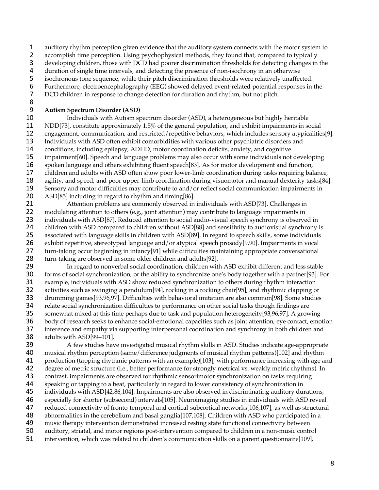auditory rhythm perception given evidence that the auditory system connects with the motor system to

2 accomplish time perception. Using psychophysical methods, they found that, compared to typically

developing children, those with DCD had poorer discrimination thresholds for detecting changes in the

4 duration of single time intervals, and detecting the presence of non-isochrony in an otherwise<br>5 isochronous tone sequence, while their pitch discrimination thresholds were relatively unaffect

5 isochronous tone sequence, while their pitch discrimination thresholds were relatively unaffected.<br>6 Furthermore, electroencephalography (EEG) showed delayed event-related potential responses in Furthermore, electroencephalography (EEG) showed delayed event-related potential responses in the

DCD children in response to change detection for duration and rhythm, but not pitch.

## **Autism Spectrum Disorder (ASD)**

 Individuals with Autism spectrum disorder (ASD), a heterogeneous but highly heritable 11 NDD[73], constitute approximately 1.5% of the general population, and exhibit impairments in social<br>12 engagement, communication, and restricted/repetitive behaviors, which includes sensory atypicalitie 12 engagement, communication, and restricted/repetitive behaviors, which includes sensory atypicalities[9].<br>13 Individuals with ASD often exhibit comorbidities with various other psychiatric disorders and Individuals with ASD often exhibit comorbidities with various other psychiatric disorders and conditions, including epilepsy, ADHD, motor coordination deficits, anxiety, and cognitive impairment[60]. Speech and language problems may also occur with some individuals not developing spoken language and others exhibiting fluent speech[83]. As for motor development and function, children and adults with ASD often show poor lower-limb coordination during tasks requiring balance, agility, and speed, and poor upper-limb coordination during visuomotor and manual dexterity tasks[84]. Sensory and motor difficulties may contribute to and/or reflect social communication impairments in

20 ASD[85] including in regard to rhythm and timing[86].<br>21 Attention problems are commonly observed in Attention problems are commonly observed in individuals with ASD[73]. Challenges in 22 modulating attention to others (e.g., joint attention) may contribute to language impairments in 23 individuals with ASD[87]. Reduced attention to social audio-visual speech synchrony is observed in children with ASD compared to children without ASD[88] and sensitivity to audiovisual synchrony is associated with language skills in children with ASD[89]. In regard to speech skills, some individuals exhibit repetitive, stereotyped language and/or atypical speech prosody[9,90]. Impairments in vocal 27 turn-taking occur beginning in infancy[91] while difficulties maintaining appropriate conversational<br>28 turn-taking are observed in some older children and adults[92]. turn-taking are observed in some older children and adults[92].

29 In regard to nonverbal social coordination, children with ASD exhibit different and less stable<br>20 forms of social synchronization, or the ability to synchronize one's body together with a partner [93]. For forms of social synchronization, or the ability to synchronize one's body together with a partner[93]. For example, individuals with ASD show reduced synchronization to others during rhythm interaction activities such as swinging a pendulum[94], rocking in a rocking chair[95], and rhythmic clapping or drumming games[93,96,97]. Difficulties with behavioral imitation are also common[98]. Some studies 34 relate social synchronization difficulties to performance on other social tasks though findings are<br>35 somewhat mixed at this time perhaps due to task and population heterogeneity[93,96,97]. A grow somewhat mixed at this time perhaps due to task and population heterogeneity[93,96,97]. A growing body of research seeks to enhance social-emotional capacities such as joint attention, eye contact, emotion inference and empathy via supporting interpersonal coordination and synchrony in both children and adults with ASD[99–101].

 A few studies have investigated musical rhythm skills in ASD. Studies indicate age-appropriate musical rhythm perception (same/difference judgments of musical rhythm patterns)[102] and rhythm 41 production (tapping rhythmic patterns with an example)[103], with performance increasing with age and<br>42 degree of metric structure (i.e., better performance for strongly metrical vs. weakly metric rhythms). In degree of metric structure (i.e., better performance for strongly metrical vs. weakly metric rhythms). In contrast, impairments are observed for rhythmic sensorimotor synchronization on tasks requiring speaking or tapping to a beat, particularly in regard to lower consistency of synchronization in individuals with ASD[42,86,104]. Impairments are also observed in discriminating auditory durations, especially for shorter (subsecond) intervals[105]. Neuroimaging studies in individuals with ASD reveal reduced connectivity of fronto-temporal and cortical-subcortical networks[106,107], as well as structural 48 abnormalities in the cerebellum and basal ganglia[107,108]. Children with ASD who participated in a<br>49 music therapy intervention demonstrated increased resting state functional connectivity between music therapy intervention demonstrated increased resting state functional connectivity between auditory, striatal, and motor regions post-intervention compared to children in a non-music control intervention, which was related to children's communication skills on a parent questionnaire[109].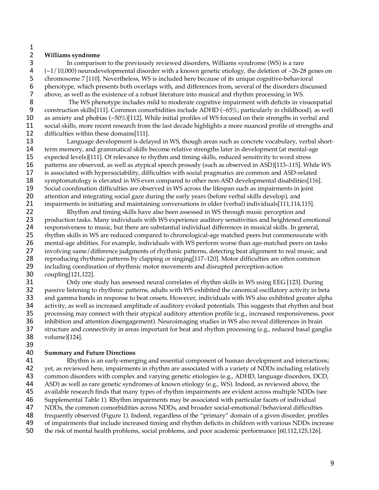## $\frac{1}{2}$ **Williams syndrome**

In comparison to the previously reviewed disorders, Williams syndrome (WS) is a rare 4 ( $\sim$ 1/10,000) neurodevelopmental disorder with a known genetic etiology, the deletion of  $\sim$ 26-28 genes on chromosome 7 [110]. Nevertheless, WS is included here because of its unique cognitive-behavioral 5 chromosome 7 [110]. Nevertheless, WS is included here because of its unique cognitive-behavioral<br>6 phenotype, which presents both overlaps with, and differences from, several of the disorders discu phenotype, which presents both overlaps with, and differences from, several of the disorders discussed 7 above, as well as the existence of a robust literature into musical and rhythm processing in WS.<br>8 The WS phenotype includes mild to moderate cognitive impairment with deficits in vis

The WS phenotype includes mild to moderate cognitive impairment with deficits in visuospatial construction skills[111]. Common comorbidities include ADHD (~65%; particularly in childhood), as well as anxiety and phobias (~50%)[112]. While initial profiles of WS focused on their strengths in verbal and 11 social skills, more recent research from the last decade highlights a more nuanced profile of strengths and<br>12 difficulties within these domains[111]. 12 difficulties within these domains[111].<br>13 Language development is dela

Language development is delayed in WS, though areas such as concrete vocabulary, verbal short- term memory, and grammatical skills become relative strengths later in development (at mental-age expected levels)[111]. Of relevance to rhythm and timing skills, reduced sensitivity to word stress patterns are observed, as well as atypical speech prosody (such as observed in ASD)[113–115]. While WS is associated with hypersociability, difficulties with social pragmatics are common and ASD-related 18 symptomatology is elevated in WS even compared to other non-ASD developmental disabilities[116]. Social coordination difficulties are observed in WS across the lifespan such as impairments in joint 20 attention and integrating social gaze during the early years (before verbal skills develop), and<br>21 impairments in initiating and maintaining conversations in older (verbal) individuals[111,114,

21 impairments in initiating and maintaining conversations in older (verbal) individuals[111,114,115].<br>22 Rhythm and timing skills have also been assessed in WS through music perception and Rhythm and timing skills have also been assessed in WS through music perception and production tasks. Many individuals with WS experience auditory sensitivities and heightened emotional 24 responsiveness to music, but there are substantial individual differences in musical skills. In general,<br>25 rhythm skills in WS are reduced compared to chronological-age matched peers but commensurate w rhythm skills in WS are reduced compared to chronological-age matched peers but commensurate with mental-age abilities. For example, individuals with WS perform worse than age-matched peers on tasks 27 involving same/difference judgments of rhythmic patterns, detecting beat alignment to real music, and<br>28 reproducing rhythmic patterns by clapping or singing[117–120]. Motor difficulties are often common reproducing rhythmic patterns by clapping or singing[117–120]. Motor difficulties are often common including coordination of rhythmic motor movements and disrupted perception-action coupling[121,122].

 Only one study has assessed neural correlates of rhythm skills in WS using EEG [123]. During passive listening to rhythmic patterns, adults with WS exhibited the canonical oscillatory activity in beta and gamma bands in response to beat onsets. However, individuals with WS also exhibited greater alpha 34 activity, as well as increased amplitude of auditory evoked potentials. This suggests that rhythm and beat<br>35 processing may connect with their atypical auditory attention profile (e.g., increased responsiveness, poor processing may connect with their atypical auditory attention profile (e.g., increased responsiveness, poor inhibition and attention disengagement). Neuroimaging studies in WS also reveal differences in brain structure and connectivity in areas important for beat and rhythm processing (e.g., reduced basal ganglia volume)[124].

## **Summary and Future Directions**

41 Rhythm is an early-emerging and essential component of human development and interactions;<br>42 vet, as reviewed here, impairments in rhythm are associated with a variety of NDDs including relatively yet, as reviewed here, impairments in rhythm are associated with a variety of NDDs including relatively common disorders with complex and varying genetic etiologies (e.g., ADHD, language disorders, DCD, ASD) as well as rare genetic syndromes of known etiology (e.g., WS). Indeed, as reviewed above, the available research finds that many types of rhythm impairments are evident across multiple NDDs (see Supplemental Table 1). Rhythm impairments may be associated with particular facets of individual NDDs, the common comorbidities across NDDs, and broader social-emotional/behavioral difficulties 48 frequently observed (Figure 1). Indeed, regardless of the "primary" domain of a given disorder, profiles<br>49 of impairments that include increased timing and rhythm deficits in children with various NDDs increas of impairments that include increased timing and rhythm deficits in children with various NDDs increase the risk of mental health problems, social problems, and poor academic performance [60,112,125,126].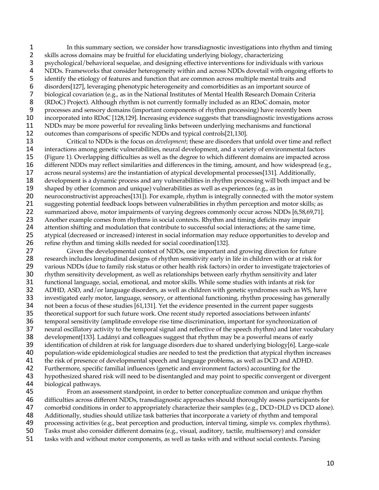In this summary section, we consider how transdiagnostic investigations into rhythm and timing 2 skills across domains may be fruitful for elucidating underlying biology, characterizing<br>3 sychological/behavioral sequelae, and designing effective interventions for individual psychological/behavioral sequelae, and designing effective interventions for individuals with various 4 NDDs. Frameworks that consider heterogeneity within and across NDDs dovetail with ongoing efforts to identify the etiology of features and function that are common across multiple mental traits and identify the etiology of features and function that are common across multiple mental traits and disorders[127], leveraging phenotypic heterogeneity and comorbidities as an important source of biological covariation (e.g., as in the National Institutes of Mental Health Research Domain Criteria (RDoC) Project). Although rhythm is not currently formally included as an RDoC domain, motor processes and sensory domains (important components of rhythm processing) have recently been incorporated into RDoC [128,129]. Increasing evidence suggests that transdiagnostic investigations across 11 NDDs may be more powerful for revealing links between underlying mechanisms and functional<br>12 outcomes than comparisons of specific NDDs and typical controls[21,130]. 12 outcomes than comparisons of specific NDDs and typical controls[21,130].<br>13 Critical to NDDs is the focus on *development*; these are disorders the

 Critical to NDDs is the focus on *development*; these are disorders that unfold over time and reflect interactions among genetic vulnerabilities, neural development, and a variety of environmental factors (Figure 1). Overlapping difficulties as well as the degree to which different domains are impacted across different NDDs may reflect similarities and differences in the timing, amount, and how widespread (e.g., across neural systems) are the instantiation of atypical developmental processes[131]. Additionally, development is a dynamic process and any vulnerabilities in rhythm processing will both impact and be 19 shaped by other (common and unique) vulnerabilities as well as experiences (e.g., as in 20 neuroconstructivist approaches[131]). For example, rhythm is integrally connected with the motor system<br>21 suggesting potential feedback loops between vulnerabilities in rhythm perception and motor skills; as suggesting potential feedback loops between vulnerabilities in rhythm perception and motor skills; as summarized above, motor impairments of varying degrees commonly occur across NDDs [6,58,69,71]. Another example comes from rhythms in social contexts. Rhythm and timing deficits may impair attention shifting and modulation that contribute to successful social interactions; at the same time, atypical (decreased or increased) interest in social information may reduce opportunities to develop and refine rhythm and timing skills needed for social coordination[132].

27 Given the developmental context of NDDs, one important and growing direction for future<br>28 research includes longitudinal designs of rhythm sensitivity early in life in children with or at risk fo research includes longitudinal designs of rhythm sensitivity early in life in children with or at risk for 29 various NDDs (due to family risk status or other health risk factors) in order to investigate trajectories of rhythm sensitivity development, as well as relationships between early rhythm sensitivity and later functional language, social, emotional, and motor skills. While some studies with infants at risk for ADHD, ASD, and/or language disorders, as well as children with genetic syndromes such as WS, have investigated early motor, language, sensory, or attentional functioning, rhythm processing has generally 34 not been a focus of these studies [61,131]. Yet the evidence presented in the current paper suggests<br>35 theoretical support for such future work. One recent study reported associations between infants' theoretical support for such future work. One recent study reported associations between infants' temporal sensitivity (amplitude envelope rise time discrimination, important for synchronization of neural oscillatory activity to the temporal signal and reflective of the speech rhythm) and later vocabulary development[133]. Ladányi and colleagues suggest that rhythm may be a powerful means of early 39 identification of children at risk for language disorders due to shared underlying biology[6]. Large-scale population-wide epidemiological studies are needed to test the prediction that atypical rhythm increases 41 the risk of presence of developmental speech and language problems, as well as DCD and ADHD.<br>42 Furthermore, specific familial influences (genetic and environment factors) accounting for the Furthermore, specific familial influences (genetic and environment factors) accounting for the hypothesized shared risk will need to be disentangled and may point to specific convergent or divergent

biological pathways.

 From an assessment standpoint, in order to better conceptualize common and unique rhythm difficulties across different NDDs, transdiagnostic approaches should thoroughly assess participants for 47 comorbid conditions in order to appropriately characterize their samples (e.g., DCD+DLD vs DCD alone). Additionally, studies should utilize task batteries that incorporate a variety of rhythm and temporal processing activities (e.g., beat perception and production, interval timing, simple vs. complex rhythms). Tasks must also consider different domains (e.g., visual, auditory, tactile, multisensory) and consider tasks with and without motor components, as well as tasks with and without social contexts. Parsing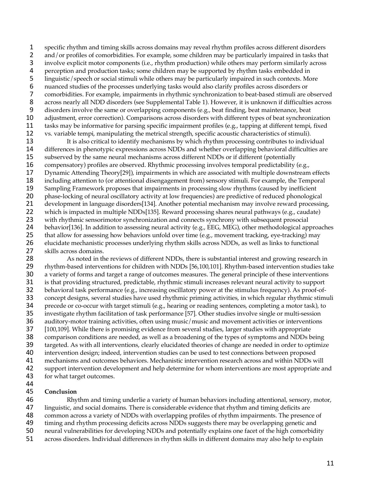specific rhythm and timing skills across domains may reveal rhythm profiles across different disorders 2 and/or profiles of comorbidities. For example, some children may be particularly impaired in tasks that<br>3 involve explicit motor components (i.e., rhythm production) while others may perform similarly across involve explicit motor components (i.e., rhythm production) while others may perform similarly across 4 perception and production tasks; some children may be supported by rhythm tasks embedded in<br>5 linguistic/speech or social stimuli while others may be particularly impaired in such contexts. Mo 5 linguistic/speech or social stimuli while others may be particularly impaired in such contexts. More nuanced studies of the processes underlying tasks would also clarify profiles across disorders or nuanced studies of the processes underlying tasks would also clarify profiles across disorders or comorbidities. For example, impairments in rhythmic synchronization to beat-based stimuli are observed across nearly all NDD disorders (see Supplemental Table 1). However, it is unknown if difficulties across disorders involve the same or overlapping components (e.g., beat finding, beat maintenance, beat adjustment, error correction). Comparisons across disorders with different types of beat synchronization 11 tasks may be informative for parsing specific impairment profiles (e.g., tapping at different tempi, fixed<br>12 vs. variable tempi, manipulating the metrical strength, specific acoustic characteristics of stimuli). 12 vs. variable tempi, manipulating the metrical strength, specific acoustic characteristics of stimuli).<br>13 It is also critical to identify mechanisms by which rhythm processing contributes to individ

It is also critical to identify mechanisms by which rhythm processing contributes to individual differences in phenotypic expressions across NDDs and whether overlapping behavioral difficulties are subserved by the same neural mechanisms across different NDDs or if different (potentially compensatory) profiles are observed. Rhythmic processing involves temporal predictability (e.g., Dynamic Attending Theory[29]), impairments in which are associated with multiple downstream effects including attention to (or attentional disengagement from) sensory stimuli. For example, the Temporal Sampling Framework proposes that impairments in processing slow rhythms (caused by inefficient 20 phase-locking of neural oscillatory activity at low frequencies) are predictive of reduced phonological<br>21 development in language disorders[134]. Another potential mechanism may involve reward processin development in language disorders[134]. Another potential mechanism may involve reward processing, 22 which is impacted in multiple NDDs[135]. Reward processing shares neural pathways (e.g., caudate) with rhythmic sensorimotor synchronization and connects synchrony with subsequent prosocial behavior[136]. In addition to assessing neural activity (e.g., EEG, MEG), other methodological approaches 25 that allow for assessing how behaviors unfold over time (e.g., movement tracking, eye-tracking) may elucidate mechanistic processes underlying rhythm skills across NDDs, as well as links to functional 27 skills across domains.<br>28 As noted in th

As noted in the reviews of different NDDs, there is substantial interest and growing research in rhythm-based interventions for children with NDDs [56,100,101]. Rhythm-based intervention studies take a variety of forms and target a range of outcomes measures. The general principle of these interventions is that providing structured, predictable, rhythmic stimuli increases relevant neural activity to support behavioral task performance (e.g., increasing oscillatory power at the stimulus frequency). As proof-of- concept designs, several studies have used rhythmic priming activities, in which regular rhythmic stimuli 34 precede or co-occur with target stimuli (e.g., hearing or reading sentences, completing a motor task), to<br>35 investigate rhythm facilitation of task performance [57]. Other studies involve single or multi-session investigate rhythm facilitation of task performance [57]. Other studies involve single or multi-session auditory-motor training activities, often using music/music and movement activities or interventions [100,109]. While there is promising evidence from several studies, larger studies with appropriate comparison conditions are needed, as well as a broadening of the types of symptoms and NDDs being targeted. As with all interventions, clearly elucidated theories of change are needed in order to optimize intervention design; indeed, intervention studies can be used to test connections between proposed 41 mechanisms and outcomes behaviors. Mechanistic intervention research across and within NDDs will<br>42 support intervention development and help determine for whom interventions are most appropriate a support intervention development and help determine for whom interventions are most appropriate and for what target outcomes.

## **Conclusion**

 Rhythm and timing underlie a variety of human behaviors including attentional, sensory, motor, linguistic, and social domains. There is considerable evidence that rhythm and timing deficits are common across a variety of NDDs with overlapping profiles of rhythm impairments. The presence of timing and rhythm processing deficits across NDDs suggests there may be overlapping genetic and

- neural vulnerabilities for developing NDDs and potentially explains one facet of the high comorbidity
- across disorders. Individual differences in rhythm skills in different domains may also help to explain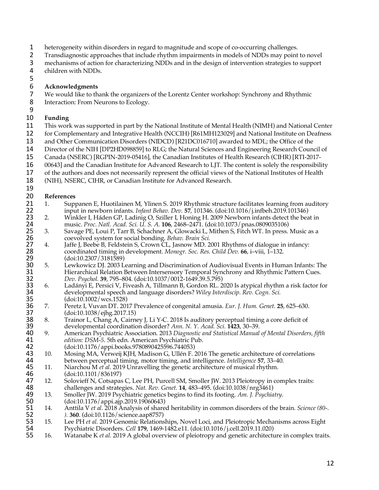- heterogeneity within disorders in regard to magnitude and scope of co-occurring challenges.
- 2 Transdiagnostic approaches that include rhythm impairments in models of NDDs may point to novel<br>3 mechanisms of action for characterizing NDDs and in the design of intervention strategies to support
- mechanisms of action for characterizing NDDs and in the design of intervention strategies to support
- children with NDDs.
- 

## **Acknowledgments**

- We would like to thank the organizers of the Lorentz Center workshop: Synchrony and Rhythmic
- 8 Interaction: From Neurons to Ecology.
- 

## **Funding**

- 11 This work was supported in part by the National Institute of Mental Health (NIMH) and National Center<br>12 for Complementary and Integrative Health (NCCIH) [R61MH123029] and National Institute on Deafness
- 12 for Complementary and Integrative Health (NCCIH) [R61MH123029] and National Institute on Deafness<br>13 and Other Communication Disorders (NIDCD) [R21DC016710] awarded to MDL: the Office of the
- and Other Communication Disorders (NIDCD) [R21DC016710] awarded to MDL; the Office of the
- Director of the NIH [DP2HD098859] to RLG; the Natural Sciences and Engineering Research Council of
- Canada (NSERC) [RGPIN-2019-05416], the Canadian Institutes of Health Research (CIHR) [RTI-2017-
- 00643] and the Canadian Institute for Advanced Research to LJT. The content is solely the responsibility
- of the authors and does not necessarily represent the official views of the National Institutes of Health
- (NIH), NSERC, CIHR, or Canadian Institute for Advanced Research.

- **References** 21 1. Suppanen E, Huotilainen M, Ylinen S. 2019 Rhythmic structure facilitates learning from auditory<br>22 input in newborn infants. *Infant Behav. Dev.* 57, 101346. (doi:10.1016/i.infbeh.2019.101346) input in newborn infants. *Infant Behav. Dev.* **57**, 101346. (doi:10.1016/j.infbeh.2019.101346)
- 23 2. Winkler I, Háden GP, Ladinig O, Sziller I, Honing H. 2009 Newborn infants detect the beat in<br>24 music. Proc. Natl. Acad. Sci. U. S. A. 106, 2468–2471. (doi:10.1073/pnas.0809035106) music. *Proc. Natl. Acad. Sci. U. S. A.* **106**, 2468–2471. (doi:10.1073/pnas.0809035106)
- 25 3. Savage PE, Loui P, Tarr B, Schachner A, Glowacki L, Mithen S, Fitch WT. In press. Music as a coevolved system for social bonding. *Behav. Brain Sci.* coevolved system for social bonding. *Behav. Brain Sci.*
- 27 4. Jaffe J, Beebe B, Feldstein S, Crown CL, Jasnow MD. 2001 Rhythms of dialogue in infancy:<br>28 coordinated timing in development. *Monogr. Soc. Res. Child Dev.* 66. i–viii. 1–132. coordinated timing in development. *Monogr. Soc. Res. Child Dev.* **66**, i–viii, 1–132.
- 29 (doi:10.2307/3181589)<br>30 5. Lewkowicz DJ. 2003 L 5. Lewkowicz DJ. 2003 Learning and Discrimination of Audiovisual Events in Human Infants: The 31 Hierarchical Relation Between Intersensory Temporal Synchrony and Rhythmic Pattern Cues.<br>32 Dev. Psychol. 39, 795–804. (doi:10.1037/0012-1649.39.5.795) *Dev. Psychol.* **39**, 795–804. (doi:10.1037/0012-1649.39.5.795)
- 33 6. Ladányi E, Persici V, Fiveash A, Tillmann B, Gordon RL. 2020 Is atypical rhythm a risk factor for developmental speech and language disorders? Wiley Interdiscip. Rev. Cogn. Sci. developmental speech and language disorders? *Wiley Interdiscip. Rev. Cogn. Sci.*
- **35** (doi:10.1002/wcs.1528)<br>**36** 7. Peretz I, Vuvan DT. 201 7. Peretz I, Vuvan DT. 2017 Prevalence of congenital amusia. *Eur. J. Hum. Genet.* **25**, 625–630. **37** (doi:10.1038/ejhg.2017.15)<br>**38** 8. Trainor L, Chang A, Cairne
- 38 8. Trainor L, Chang A, Cairney J, Li Y-C. 2018 Is auditory perceptual timing a core deficit of developmental coordination disorder? Ann. N. Y. Acad. Sci. 1423, 30–39.
- developmental coordination disorder? *Ann. N. Y. Acad. Sci.* **1423**, 30–39. 9. American Psychiatric Association. 2013 *Diagnostic and Statistical Manual of Mental Disorders, fifth*  41 *edition: DSM-5*. 5th edn. American Psychiatric Pub.<br>42 (doi:10.1176/appi.books.9780890425596.744053)
- (doi:10.1176/appi.books.9780890425596.744053) 43 10. Mosing MA, Verweij KJH, Madison G, Ullén F. 2016 The genetic architecture of correlations between perceptual timing, motor timing, and intelligence. *Intelligence* 57, 33–40. between perceptual timing, motor timing, and intelligence. *Intelligence* **57**, 33–40.
- 45 11. Niarchou M *et al.* 2019 Unravelling the genetic architecture of musical rhythm.<br>46 (doi:10.1101/836197) 46 (doi:10.1101/836197)<br>47 12. Solovieff N, Cotsapas
- 47 12. Solovieff N, Cotsapas C, Lee PH, Purcell SM, Smoller JW. 2013 Pleiotropy in complex traits:<br>48 challenges and strategies. Nat. Rev. Genet. 14, 483–495. (doi:10.1038/nrg3461) 48 challenges and strategies. *Nat. Rev. Genet.* **14**, 483–495. (doi:10.1038/nrg3461)<br>49 13. Smoller JW. 2019 Psychiatric genetics begins to find its footing. Am. J. Psychia
- 13. Smoller JW. 2019 Psychiatric genetics begins to find its footing. *Am. J. Psychiatry*. 50 (doi:10.1176/appi.ajp.2019.19060643)<br>51 14. Anttila V *et al.* 2018 Analysis of share
- 14. Anttila V *et al.* 2018 Analysis of shared heritability in common disorders of the brain. *Science (80-. ).* **360**. (doi:10.1126/science.aap8757)
- 15. Lee PH *et al.* 2019 Genomic Relationships, Novel Loci, and Pleiotropic Mechanisms across Eight Psychiatric Disorders. *Cell* **179**, 1469-1482.e11. (doi:10.1016/j.cell.2019.11.020)
- 16. Watanabe K *et al.* 2019 A global overview of pleiotropy and genetic architecture in complex traits.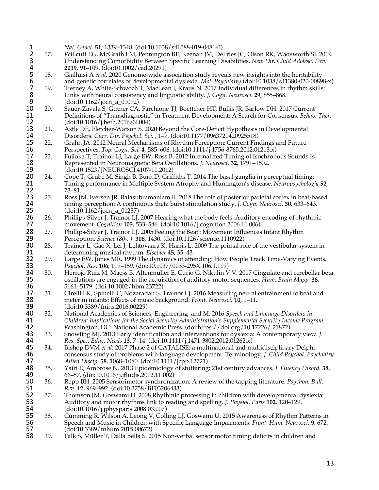1 *Nat. Genet.* **51**, 1339–1348. (doi:10.1038/s41588-019-0481-0)<br>2 17. Willcutt EG, McGrath LM, Pennington BF, Keenan JM, Del<br>3 Understanding Comorbidity Between Specific Learning Di 2 17. Willcutt EG, McGrath LM, Pennington BF, Keenan JM, DeFries JC, Olson RK, Wadsworth SJ. 2019 3 Understanding Comorbidity Between Specific Learning Disabilities. *New Dir. Child Adolesc. Dev.*<br>2019, 91–109. (doi:10.1002/cad.20291)<br>5 Gialluisi A *et al.* 2020 Genome-wide association study reveals new insights into t **2019**, 91–109. (doi:10.1002/cad.20291)<br>18. Gialluisi A *et al.* 2020 Genome-wide as 5 18. Gialluisi A *et al.* 2020 Genome-wide association study reveals new insights into the heritability and genetic correlates of developmental dyslexia. *Mol. Psychiatry* (doi:10.1038/s41380-020-00898-x)<br>19. Tierney A. White-Schwoch T. MacLean J. Kraus N. 2017 Individual differences in rhythm skills: 7 19. Tierney A, White-Schwoch T, MacLean J, Kraus N. 2017 Individual differences in rhythm skills: 8 Links with neural consistency and linguistic ability. *J. Cogn. Neurosci.* **29**, 855–868. 9 (doi:10.1162/jocn\_a\_01092)<br>10 20. Sauer-Zavala S, Gutner CA, 10 20. Sauer-Zavala S, Gutner CA, Farchione TJ, Boettcher HT, Bullis JR, Barlow DH. 2017 Current 11 Definitions of "Transdiagnostic" in Treatment Development: A Search for Consensus. Behav. 11 Definitions of "Transdiagnostic" in Treatment Development: A Search for Consensus. *Behav. Ther.* 12 (doi:10.1016/j.beth.2016.09.004)<br>13 21. Astle DE, Fletcher-Watson S. 20. 13 21. Astle DE, Fletcher-Watson S. 2020 Beyond the Core-Deficit Hypothesis in Developmental<br>14 Disorders. Curr. Dir. Psychol. Sci., 1–7. (doi:10.1177/0963721420925518) 14 Disorders. *Curr. Dir. Psychol. Sci.* , 1–7. (doi:10.1177/09637214200925518)<br>15 22. Grahn JA. 2012 Neural Mechanisms of Rhythm Perception: Current Fin 15 22. Grahn JA. 2012 Neural Mechanisms of Rhythm Perception: Current Findings and Future<br>16 Perspectives. Top. Cogn. Sci. 4, 585–606. (doi:10.1111/j.1756-8765.2012.01213.x) 16 Perspectives. *Top. Cogn. Sci.* 4, 585–606. (doi:10.1111/*j*.1756-8765.2012.01213.x)<br>17 23. Fujioka T, Trainor LJ, Large EW, Ross B. 2012 Internalized Timing of Isochrono 17 23. Fujioka T, Trainor LJ, Large EW, Ross B. 2012 Internalized Timing of Isochronous Sounds Is<br>18 Represented in Neuromagnetic Beta Oscillations. *J. Neurosci*. 32, 1791–1802. 18 Represented in Neuromagnetic Beta Oscillations. *J. Neurosci.* **32**, 1791–1802. 19 (doi:10.1523/JNEUROSCI.4107-11.2012)<br>20 24. Cope T, Grube M, Singh B, Burn D, Griff 20 24. Cope T, Grube M, Singh B, Burn D, Griffiths T. 2014 The basal ganglia in perceptual timing:<br>21 Timing performance in Multiple System Atrophy and Huntington's disease. Neuropsychologi 21 Timing performance in Multiple System Atrophy and Huntington's disease. *Neuropsychologia* **52**, 22 73–81.<br>23 25. Ross II 25. Ross JM, Iversen JR, Balasubramaniam R. 2018 The role of posterior parietal cortex in beat-based<br>24 timing perception: A continuous theta burst stimulation study. *J. Cogn. Neurosci.* 30, 633–643. 24 timing perception: A continuous theta burst stimulation study. *J. Cogn. Neurosci.* **30**, 633–643. **25** (doi:10.1162/jocn\_a\_01237)<br>**26** 26. Phillips-Silver J, Trainor LJ. 26 26. Phillips-Silver J, Trainor LJ. 2007 Hearing what the body feels: Auditory encoding of rhythmic movement. *Cognition* **105**, 533–546. (doi:10.1016/j.cognition.2006.11.006) 27 movement. *Cognition* **105**, 533–546. (doi:10.1016/j.cognition.2006.11.006)<br>28 27. Phillips-Silver J, Trainor LJ. 2005 Feeling the Beat : Movement Influences<br>29 Perception. *Science* (80-. ). **308**, 1430. (doi:10.1126/s 27. Phillips-Silver J, Trainor LJ. 2005 Feeling the Beat: Movement Influences Infant Rhythm 29 Perception. *Science (80-. ).* **308**, 1430. (doi:10.1126/science.1110922) 30 28. Trainor L, Gao X, Lei J, Lehtovaara K, Harris L. 2009 The primal role of the vestibular system in determining musical rhythm. *Elsevier* 45, 35–43. 31 determining musical rhythm. *Elsevier* **45**, 35–43. 32 29. Large EW, Jones MR. 1999 The dynamics of attending: How People Track Time-Varying Events.<br>33 *Psychol. Res.* 106, 119–159. (doi:10.1037/0033-295X.106.1.119) 33 *Psychol. Res.* **106**, 119–159. (doi:10.1037/0033-295X.106.1.119) 34 30. Herrojo Ruiz M, Maess B, Altenmüller E, Curio G, Nikulin V V. 2017 Cingulate and cerebellar beta<br>35 oscillations are engaged in the acquisition of auditory-motor sequences. Hum. Brain Mapp. 38, 35 oscillations are engaged in the acquisition of auditory-motor sequences. *Hum. Brain Mapp.* **38**, 36 5161–5179. (doi:10.1002/hbm.23722) 37 31. Cirelli LK, Spinelli C, Nozaradan S, Trainor LJ. 2016 Measuring neural entrainment to beat and meter in infants: Effects of music background. *Front. Neurosci.* **10**, 1–11. 38 meter in infants: Effects of music background. *Front. Neurosci.* **10**, 1–11. **39** (doi:10.3389/fnins.2016.00229)<br>**40** 32. National Academies of Science 40 32. National Academies of Sciences, Engineering and M. 2016 *Speech and Language Disorders in*  41 *Children: Implications for the Social Security Administration's Supplemental Security Income Program*. 42 Washington, DC: National Academic Press. (doi:https://doi.org/10.17226/ 21872)<br>43 33. Snowling MJ. 2013 Early identification and interventions for dyslexia: A contempor 43 33. Snowling MJ. 2013 Early identification and interventions for dyslexia: A contemporary view. *J.*  44 *Res. Spec. Educ. Needs* **13**, 7–14. (doi:10.1111/j.1471-3802.2012.01262.x) 45 34. Bishop DVM *et al.* 2017 Phase 2 of CATALISE: a multinational and multidisciplinary Delphi 46 consensus study of problems with language development: Terminology. *J. Child Psychol. Psychiatry*  47 *Allied Discip.* **58**, 1068–1080. (doi:10.1111/jcpp.12721) 48 35. Yairi E, Ambrose N. 2013 Epidemiology of stuttering: 21st century advances. *J. Fluency Disord.* **38**, 49 66–87. (doi:10.1016/j.jfludis<sup>2012.11.002</sup>2)<br>50 36. Repp BH. 2005 Sensorimotor synchroniz 50 36. Repp BH. 2005 Sensorimotor synchronization: A review of the tapping literature. *Psychon. Bull.*  51 *Rev.* **12**, 969–992. (doi:10.3758/BF03206433) 52 37. Thomson JM, Goswami U. 2008 Rhythmic processing in children with developmental dyslexia:<br>53 Auditory and motor rhythms link to reading and spelling. *J. Physiol. Paris* 102, 120–129. 53 Auditory and motor rhythms link to reading and spelling. *J. Physiol. Paris* **102**, 120–129. 54 (doi:10.1016/j.jphysparis.2008.03.007) 55 38. Cumming R, Wilson A, Leong V, Colling LJ, Goswami U. 2015 Awareness of Rhythm Patterns in 56 Speech and Music in Children with Specific Language Impairments. *Front. Hum. Neurosci.* **9**, 672. 57 (doi:10.3389/fnhum.2015.00672) 58 39. Falk S, Müller T, Dalla Bella S. 2015 Non-verbal sensorimotor timing deficits in children and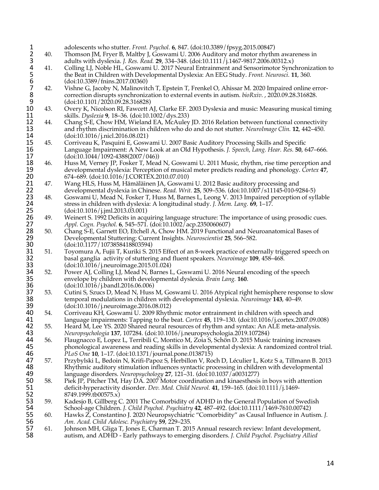| $\mathbf{1}$ |     | adolescents who stutter. Front. Psychol. 6, 847. (doi:10.3389/fpsyg.2015.00847)                                                                                                             |
|--------------|-----|---------------------------------------------------------------------------------------------------------------------------------------------------------------------------------------------|
| 234567       | 40. | Thomson JM, Fryer B, Maltby J, Goswami U. 2006 Auditory and motor rhythm awareness in                                                                                                       |
|              |     | adults with dyslexia. <i>J. Res. Read.</i> 29, 334–348. (doi:10.1111/j.1467-9817.2006.00312.x)                                                                                              |
|              | 41. | Colling LJ, Noble HL, Goswami U. 2017 Neural Entrainment and Sensorimotor Synchronization to                                                                                                |
|              |     | the Beat in Children with Developmental Dyslexia: An EEG Study. Front. Neurosci. 11, 360.                                                                                                   |
|              |     | (doi:10.3389/fnis:2017.00360)                                                                                                                                                               |
|              | 42. | Vishne G, Jacoby N, Malinovitch T, Epstein T, Frenkel O, Ahissar M. 2020 Impaired online error-                                                                                             |
| 8            |     | correction disrupts synchronization to external events in autism. bioRxiv., 2020.09.28.316828.                                                                                              |
| 9            |     | (doi:10.1101/2020.09.28.316828)                                                                                                                                                             |
| 10           | 43. | Overy K, Nicolson RI, Fawcett AJ, Clarke EF. 2003 Dyslexia and music: Measuring musical timing                                                                                              |
| 11           |     | skills. Dyslexia 9, 18–36. (doi:10.1002/dys.233)                                                                                                                                            |
| 12           | 44. | Chang S-E, Chow HM, Wieland EA, McAuley JD. 2016 Relation between functional connectivity                                                                                                   |
| 13           |     | and rhythm discrimination in children who do and do not stutter. NeuroImage Clin. 12, 442–450.                                                                                              |
| 14           |     | (doi:10.1016/j.nicl.2016.08.021)                                                                                                                                                            |
| 15           |     |                                                                                                                                                                                             |
|              | 45. | Corriveau K, Pasquini E, Goswami U. 2007 Basic Auditory Processing Skills and Specific                                                                                                      |
| 16           |     | Language Impairment: A New Look at an Old Hypothesis. J. Speech, Lang. Hear. Res. 50, 647-666.                                                                                              |
| 17           |     | $(doi:10.1044/1092-4388(2007/046))$                                                                                                                                                         |
| 18           | 46. | Huss M, Verney JP, Fosker T, Mead N, Goswami U. 2011 Music, rhythm, rise time perception and                                                                                                |
| 19           |     | developmental dyslexia: Perception of musical meter predicts reading and phonology. Cortex 47,                                                                                              |
| 20           |     | 674–689. (doi:10.1016/J.CORTEX.2010.07.010)                                                                                                                                                 |
| 21           | 47. | Wang HLS, Huss M, Hämäläinen JA, Goswami U. 2012 Basic auditory processing and                                                                                                              |
| 22           |     | developmental dyslexia in Chinese. Read. Writ. 25, 509-536. (doi:10.1007/s11145-010-9284-5)                                                                                                 |
| 23           | 48. | Goswami U, Mead N, Fosker T, Huss M, Barnes L, Leong V. 2013 Impaired perception of syllable                                                                                                |
| 24           |     | stress in children with dyslexia: A longitudinal study. J. Mem. Lang. 69, 1–17.                                                                                                             |
| 25           |     | (doi:10.1016/j.1m1.2013.03.001)                                                                                                                                                             |
| 26           | 49. | Weinert S. 1992 Deficits in acquiring language structure: The importance of using prosodic cues.                                                                                            |
| 27           |     | Appl. Cogn. Psychol. 6, 545–571. (doi:10.1002/acp.2350060607)                                                                                                                               |
| 28           | 50. | Chang S-E, Garnett EO, Etchell A, Chow HM. 2019 Functional and Neuroanatomical Bases of                                                                                                     |
| 29           |     | Developmental Stuttering: Current Insights. Neuroscientist 25, 566-582.                                                                                                                     |
| 30           |     | (doi:10.1177/1073858418803594)                                                                                                                                                              |
| 31           | 51. | Toyomura A, Fujii T, Kuriki S. 2015 Effect of an 8-week practice of externally triggered speech on                                                                                          |
| 32           |     | basal ganglia activity of stuttering and fluent speakers. Neuroimage 109, 458-468.                                                                                                          |
| 33           |     | (doi:10.1016/j.neuroimage.2015.01.024)                                                                                                                                                      |
| 34           | 52. | Power AJ, Colling LJ, Mead N, Barnes L, Goswami U. 2016 Neural encoding of the speech                                                                                                       |
| 35           |     | envelope by children with developmental dyslexia. Brain Lang. 160.                                                                                                                          |
| 36           |     | (doi:10.1016/j.bandl.2016.06.006)                                                                                                                                                           |
| 37           |     |                                                                                                                                                                                             |
|              | 53. | Cutini S, Szucs D, Mead N, Huss M, Goswami U. 2016 Atypical right hemisphere response to slow                                                                                               |
| 38           |     | temporal modulations in children with developmental dyslexia. Neuroimage 143, 40-49.                                                                                                        |
| 39           |     | (doi:10.1016/j.neuroimage.2016.08.012)                                                                                                                                                      |
| 40           | 54. | Corriveau KH, Goswami U. 2009 Rhythmic motor entrainment in children with speech and                                                                                                        |
| 41           |     | language impairments: Tapping to the beat. Cortex 45, 119-130. (doi:10.1016/j.cortex.2007.09.008) Heard M, Lee YS. 2020 Shared neural resources of rhythm and syntax: An ALE meta-analysis. |
| 42           | 55. |                                                                                                                                                                                             |
| 43           |     | Neuropsychologia 137, 107284. (doi:10.1016/j.neuropsychologia.2019.107284)                                                                                                                  |
| 44           | 56. | Flaugnacco E, Lopez L, Terribili C, Montico M, Zoia S, Schön D. 2015 Music training increases                                                                                               |
| 45           |     | phonological awareness and reading skills in developmental dyslexia: A randomized control trial.                                                                                            |
| 46           |     | PLoS One 10, 1–17. (doi:10.1371/journal.pone.0138715)                                                                                                                                       |
| 47           | 57. | Przybylski L, Bedoin N, Krifi-Papoz S, Herbillon V, Roch D, Léculier L, Kotz S a, Tillmann B. 2013                                                                                          |
| 48           |     | Rhythmic auditory stimulation influences syntactic processing in children with developmental                                                                                                |
| 49           |     | language disorders. Neuropsychology 27, 121-31. (doi:10.1037/a0031277)                                                                                                                      |
| 50           | 58. | Piek JP, Pitcher TM, Hay DA. 2007 Motor coordination and kinaesthesis in boys with attention                                                                                                |
| 51           |     | deficit-hyperactivity disorder. Dev. Med. Child Neurol. 41, 159-165. (doi:10.1111/j.1469-                                                                                                   |
| 52           |     | 8749.1999.tb00575.x)                                                                                                                                                                        |
| 53           | 59. | Kadesjo B, Gillberg C. 2001 The Comorbidity of ADHD in the General Population of Swedish                                                                                                    |
| 54           |     | School-age Children. J. Child Psychol. Psychiatry 42, 487-492. (doi:10.1111 / 1469-7610.00742)                                                                                              |
| 55           | 60. | Hawks Z, Constantino J. 2020 Neuropsychiatric "Comorbidity" as Causal Influence in Autism. J.                                                                                               |
| 56           |     | Am. Acad. Child Adolesc. Psychiatry 59, 229–235.                                                                                                                                            |
| 57           | 61. | Johnson MH, Gliga T, Jones E, Charman T. 2015 Annual research review: Infant development,                                                                                                   |
| 58           |     | autism, and ADHD - Early pathways to emerging disorders. J. Child Psychol. Psychiatry Allied                                                                                                |
|              |     |                                                                                                                                                                                             |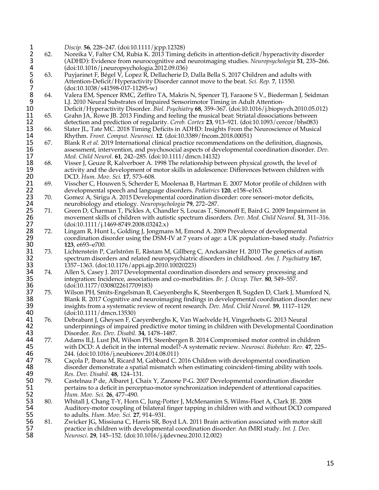1 *Discip.* **56**, 228–247. (doi:10.1111/jcpp.12328)<br>
2 62. Noreika V, Falter CM, Rubia K. 2013 Timing<br>
3 (ADHD): Evidence from neurocognitive and 2 62. Noreika V, Falter CM, Rubia K. 2013 Timing deficits in attention-deficit/hyperactivity disorder 3 (ADHD): Evidence from neurocognitive and neuroimaging studies. *Neuropsychologia* **51**, 235–266.<br>
(doi:10.1016/j.neuropsychologia.2012.09.036)<br>
5 (doi:10.1016/j.neuropsychologia.2012.09.036)<br>
7 (doi:10.1038/s41598-017-11 (doi:10.1016/j.neuropsychologia.2012.09.036)<br>63. Puvjarinet F. Bégel V. Lopez R. Dellacherie D 5 63. Puyjarinet F, Bégel V, Lopez R, Dellacherie D, Dalla Bella S. 2017 Children and adults with 6 Attention-Deficit/Hyperactivity Disorder cannot move to the beat. *Sci. Rep.* **7**, 11550. (doi:10.1038/s41598-017-11295-w)<br>64. Valera EM, Spencer RMC, Zeffiro Valera EM, Spencer RMC, Zeffiro TA, Makris N, Spencer TJ, Faraone S V., Biederman J, Seidman 9 LJ. 2010 Neural Substrates of Impaired Sensorimotor Timing in Adult Attention-<br>10 Deficit/Hyperactivity Disorder. *Biol. Psychiatry* 68, 359–367. (doi:10.1016/j.biopsy 10 Deficit/Hyperactivity Disorder. *Biol. Psychiatry* **68**, 359–367. (doi:10.1016/j.biopsych.2010.05.012) 11 65. Grahn JA, Rowe JB. 2013 Finding and feeling the musical beat: Striatal dissociations between<br>12 detection and prediction of regularity. *Cereb. Cortex* 23, 913–921. (doi:10.1093/cercor/bhs083) 12 detection and prediction of regularity. *Cereb. Cortex* 23, 913–921. (doi:10.1093/cercor/bhs083)<br>13 66. Slater JL, Tate MC. 2018 Timing Deficits in ADHD: Insights From the Neuroscience of Musica 13 66. Slater JL, Tate MC. 2018 Timing Deficits in ADHD: Insights From the Neuroscience of Musical<br>14 Rhythm. Front. Comput. Neurosci. 12. (doi:10.3389/fncom.2018.00051) 14 Rhythm. *Front. Comput. Neurosci.* 12. (doi:10.3389/fncom.2018.00051)<br>15 67. Blank R *et al.* 2019 International clinical practice recommendations on 15 67. Blank R *et al.* 2019 International clinical practice recommendations on the definition, diagnosis, assessment, intervention, and psychosocial aspects of developmental coordination disorder. *De* 16 assessment, intervention, and psychosocial aspects of developmental coordination disorder. *Dev.*  17 *Med. Child Neurol.* **61**, 242–285. (doi:10.1111/dmcn.14132) 18 68. Visser J, Geuze R, Kalverboer A. 1998 The relationship between physical growth, the level of 19<br>19 cativity and the development of motor skills in adolescence: Differences between children wi 19 activity and the development of motor skills in adolescence: Differences between children with<br>20 DCD. Hum. Mov. Sci. 17, 573–608. 20 DCD. *Hum. Mov. Sci.* **17**, 573–608. 21 69. Visscher C, Houwen S, Scherder E, Moolenaa B, Hartman E. 2007 Motor profile of children with<br>22 developmental speech and language disorders. *Pediatrics* 120, e158–e163. 22 developmental speech and language disorders. *Pediatrics* **120**, e158–e163. 23 70. Gomez A, Sirigu A. 2015 Developmental coordination disorder: core sensori-motor deficits,<br>24 meurobiology and etiology. Neuropsychologia 79, 272–287. 24 neurobiology and etiology. *Neuropsychologia* **79**, 272–287. 25 71. Green D, Charman T, Pickles A, Chandler S, Loucas T, Simonoff E, Baird G. 2009 Impairment in<br>26 movement skills of children with autistic spectrum disorders. Dev. Med. Child Neurol. 51, 311–316 26 movement skills of children with autistic spectrum disorders. *Dev. Med. Child Neurol.* **51**, 311–316. 27 (doi:10.1111/j.1469-8749.2008.03242.x)<br>28 72. Lingam R, Hunt L, Golding J, Jongmar 28 72. Lingam R, Hunt L, Golding J, Jongmans M, Emond A. 2009 Prevalence of developmental coordination disorder using the DSM-IV at 7 years of age: a UK population-based study. 29 coordination disorder using the DSM-IV at 7 years of age: a UK population–based study. *Pediatrics* 30 **123**, e693–e700. 31 73. Lichtenstein P, Carlström E, Råstam M, Gillberg C, Anckarsäter H. 2010 The genetics of autism spectrum disorders and related neuropsychiatric disorders in childhood. Am. J. Psychiatry 167, 32 spectrum disorders and related neuropsychiatric disorders in childhood. *Am. J. Psychiatry* **167**, 33 1357–1363. (doi:10.1176/appi.ajp.2010.10020223) 34 74. Allen S, Casey J. 2017 Developmental coordination disorders and sensory processing and integration: Incidence, associations and co-morbidities. *Br. J. Occup. Ther.* 80, 549–557. 35 integration: Incidence, associations and co-morbidities. *Br. J. Occup. Ther.* **80**, 549–557. 36 (doi:10.1177/0308022617709183)<br>37 75. Wilson PH, Smits-Engelsman B, 37 75. Wilson PH, Smits-Engelsman B, Caeyenberghs K, Steenbergen B, Sugden D, Clark J, Mumford N, 38 Blank R. 2017 Cognitive and neuroimaging findings in developmental coordination disorder: new 38 Blank R. 2017 Cognitive and neuroimaging findings in developmental coordination disorder: new<br>39 insights from a systematic review of recent research. Dev. Med. Child Neurol. 59, 1117–1129. 39 insights from a systematic review of recent research. *Dev. Med. Child Neurol.* **59**, 1117–1129. 40 (doi:10.1111/dmcn.13530)<br>41 76. Debrabant J, Gheysen F, C 41 76. Debrabant J, Gheysen F, Caeyenberghs K, Van Waelvelde H, Vingerhoets G. 2013 Neural<br>42 **Interpretional and Stephan** and a predictive motor timing in children with Developmental Coor 42 underpinnings of impaired predictive motor timing in children with Developmental Coordination<br>43 Disorder. Res. Dev. Disabil. 34, 1478–1487. 43 Disorder. *Res. Dev. Disabil.* **34**, 1478–1487. 44 77. Adams ILJ, Lust JM, Wilson PH, Steenbergen B. 2014 Compromised motor control in children<br>45 with DCD: A deficit in the internal model?-A systematic review. Neurosci. Biobehav. Rev. 47, 22. 45 with DCD: A deficit in the internal model?-A systematic review. *Neurosci. Biobehav. Rev.* **47**, 225– 46 244. (doi:10.1016/j.neubiorev.2014.08.011) 47 78. Caçola P, Ibana M, Ricard M, Gabbard C. 2016 Children with developmental coordination<br>48 disorder demonstrate a spatial mismatch when estimating coincident-timing ability with to 48 disorder demonstrate a spatial mismatch when estimating coincident-timing ability with tools.<br>49 Res. Dev. Disabil. 48, 124–131. 49 *Res. Dev. Disabil.* **48**, 124–131. 50 79. Castelnau P de, Albaret J, Chaix Y, Zanone P-G. 2007 Developmental coordination disorder 51 pertains to a deficit in perceptuo-motor synchronization independent of attentional capacities.<br>52 *Hum. Mov. Sci.* **26**, 477–490. 52 *Hum. Mov. Sci.* **26**, 477–490. 53 80. Whitall J, Chang T-Y, Horn C, Jung-Potter J, McMenamim S, Wilms-Floet A, Clark JE. 2008<br>54 Sauditory-motor coupling of bilateral finger tapping in children with and without DCD con 54 Auditory-motor coupling of bilateral finger tapping in children with and without DCD compared<br>55 to adults. *Hum. Mov. Sci.* 27, 914–931. 55 to adults. *Hum. Mov. Sci.* **27**, 914–931. 56 81. Zwicker JG, Missiuna C, Harris SR, Boyd LA. 2011 Brain activation associated with motor skill<br>57 practice in children with developmental coordination disorder: An fMRI study. *Int.* J. Dev. 57 practice in children with developmental coordination disorder: An fMRI study. *Int. J. Dev.*  58 *Neurosci.* **29**, 145–152. (doi:10.1016/j.ijdevneu.2010.12.002)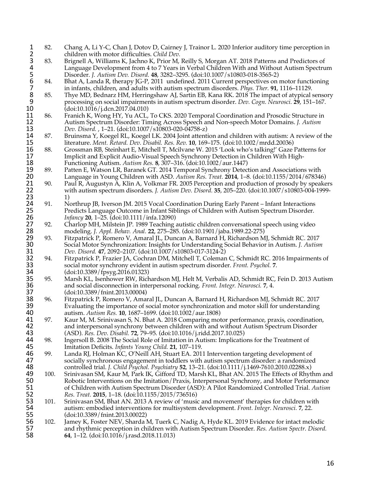- 1 82. Chang A, Li Y-C, Chan J, Dotov D, Cairney J, Trainor L. 2020 Inferior auditory time perception in<br>2 83. Brignell A, Williams K, Jachno K, Prior M, Reilly S, Morgan AT. 2018 Patterns and Predictors of children with motor difficulties. *Child Dev.*<br>23. Brignell A, Williams K, Jachno K, Prior M,
- 83. Brignell A, Williams K, Jachno K, Prior M, Reilly S, Morgan AT. 2018 Patterns and Predictors of<br>4 Language Development from 4 to 7 Years in Verbal Children With and Without Autism Spectru:<br>5 Disorder. J. Autism Dev. Di Language Development from 4 to 7 Years in Verbal Children With and Without Autism Spectrum 5 Disorder. *J. Autism Dev. Disord.* **48**, 3282–3295. (doi:10.1007/s10803-018-3565-2)
- 6 84. Bhat A, Landa R, therapy JG-P, 2011 undefined. 2011 Current perspectives on motor functioning
- 7 in infants, children, and adults with autism spectrum disorders. *Phys. Ther.* **91**, 1116–11129.<br>8 85. Thye MD, Bednarz HM, Herringshaw AJ, Sartin EB, Kana RK. 2018 The impact of atypical sprocessing on social impairment Thye MD, Bednarz HM, Herringshaw AJ, Sartin EB, Kana RK. 2018 The impact of atypical sensory 9 processing on social impairments in autism spectrum disorder. *Dev. Cogn. Neurosci.* **29**, 151–167. 10 (doi:10.1016/j.dcn.2017.04.010)<br>11 86. Franich K, Wong HY, Yu ACL,
- 11 86. Franich K, Wong HY, Yu ACL, To CKS. 2020 Temporal Coordination and Prosodic Structure in<br>12 Autism Spectrum Disorder: Timing Across Speech and Non-speech Motor Domains. *J. Autism* 12 Autism Spectrum Disorder: Timing Across Speech and Non-speech Motor Domains. *J. Autism*
- 13 *Dev. Disord.* , 1–21. (doi:10.1007/s10803-020-04758-z) 14 87. Bruinsma Y, Koegel RL, Koegel LK. 2004 Joint attention and children with autism: A review of the<br>15 literature. Ment. Retard. Dev. Disabil. Res. Rev. 10, 169–175. (doi:10.1002/mrdd.20036)
- 15 literature. *Ment. Retard. Dev. Disabil. Res. Rev.* 10, 169–175. (doi:10.1002/mrdd.20036)<br>16 88. Grossman RB, Steinhart E, Mitchell T, Mcilvane W. 2015 'Look who's talking!' Gaze I 16 88. Grossman RB, Steinhart E, Mitchell T, Mcilvane W. 2015 'Look who's talking!' Gaze Patterns for<br>17 Inplicit and Explicit Audio-Visual Speech Synchrony Detection in Children With High-17 Implicit and Explicit Audio-Visual Speech Synchrony Detection in Children With High-<br>18 Functioning Autism. Autism Res. 8, 307–316. (doi:10.1002/aur.1447)
- 18 Functioning Autism. *Autism Res.* 8, 307–316. (doi:10.1002/aur.1447)<br>19 89. Patten E, Watson LR, Baranek GT. 2014 Temporal Synchrony Detect 19 89. Patten E, Watson LR, Baranek GT. 2014 Temporal Synchrony Detection and Associations with<br>20 Language in Young Children with ASD. Autism Res. Treat. 2014, 1–8. (doi:10.1155/2014/678346 20 Language in Young Children with ASD. *Autism Res. Treat.* **2014**, 1–8. (doi:10.1155/2014/678346)
- 21 90. Paul R, Augustyn A, Klin A, Volkmar FR. 2005 Perception and production of prosody by speakers<br>22 with autism spectrum disorders. J. Autism Dev. Disord. 35, 205–220. (doi:10.1007/s10803-004-1999-22 with autism spectrum disorders. *J. Autism Dev. Disord.* **35**, 205–220. (doi:10.1007/s10803-004-1999- 23  $1)$ <br>24 91. No
- 24 91. Northrup JB, Iverson JM. 2015 Vocal Coordination During Early Parent Infant Interactions<br>25 Predicts Language Outcome in Infant Siblings of Children with Autism Spectrum Disorder. 25 Predicts Language Outcome in Infant Siblings of Children with Autism Spectrum Disorder.<br>26 *Infancy* 20, 1–25. (doi:10.1111/infa.12090)
- 26 *Infancy* **20**, 1–25. (doi:10.1111/infa.12090) 27 92. Charlop MH, Milstein JP. 1989 Teaching autistic children conversational speech using video<br>28 modeling. J. Appl. Behav. Anal. 22, 275–285. (doi:10.1901/jaba.1989.22-275) 28 modeling. *J. Appl. Behav. Anal.* **22**, 275–285. (doi:10.1901/jaba.1989.22-275)
- 29 93. Fitzpatrick P, Romero V, Amaral JL, Duncan A, Barnard H, Richardson MJ, Schmidt RC. 2017<br>20 Social Motor Synchronization: Insights for Understanding Social Behavior in Autism. *J. Autisn* 30 Social Motor Synchronization: Insights for Understanding Social Behavior in Autism. *J. Autism*
- 31 *Dev. Disord.* **47**, 2092–2107. (doi:10.1007/s10803-017-3124-2) 32 94. Fitzpatrick P, Frazier JA, Cochran DM, Mitchell T, Coleman C, Schmidt RC. 2016 Impairments of social motor synchrony evident in autism spectrum disorder. *Front. Psychol.* 7. 33 social motor synchrony evident in autism spectrum disorder. *Front. Psychol.* **7**.
- 34 (doi:10.3389/fpsyg.2016.01323) 35 95. Marsh KL, Isenhower RW, Richardson MJ, Helt M, Verbalis AD, Schmidt RC, Fein D. 2013 Autism<br>36 and social disconnection in interpersonal rocking. *Front. Integr. Neurosci.* 7, 4. 36 and social disconnection in interpersonal rocking. *Front. Integr. Neurosci.* **7**, 4.
- 37 (doi:10.3389/fnint.2013.00004) 38 96. Fitzpatrick P, Romero V, Amaral JL, Duncan A, Barnard H, Richardson MJ, Schmidt RC. 2017 39 Evaluating the importance of social motor synchronization and motor skill for understanding autism. Autism Res.  $10$ , 1687–1699. (doi:10.1002/aur.1808) 40 autism. *Autism Res.* **10**, 1687–1699. (doi:10.1002/aur.1808)
- 41 97. Kaur M, M. Srinivasan S, N. Bhat A. 2018 Comparing motor performance, praxis, coordination, 42 and interpersonal synchrony between children with and without Autism Spectrum Disorder 42 and interpersonal synchrony between children with and without Autism Spectrum Disorder<br>43 (ASD). Res. Dev. Disabil. 72, 79–95. (doi:10.1016/j.ridd.2017.10.025) 43 (ASD). *Res. Dev. Disabil.* **72**, 79–95. (doi:10.1016/j.ridd.2017.10.025)
- 44 98. Ingersoll B. 2008 The Social Role of Imitation in Autism: Implications for the Treatment of 45 Imitation Deficits. *Infants Young Child.* 21, 107–119. 45 Imitation Deficits. *Infants Young Child.* **21**, 107–119.
- 46 99. Landa RJ, Holman KC, O'Neill AH, Stuart EA. 2011 Intervention targeting development of socially synchronous engagement in toddlers with autism spectrum disorder: a randomized 47 socially synchronous engagement in toddlers with autism spectrum disorder: a randomized<br>48 controlled trial. *J. Child Psychol. Psychiatry* 52, 13–21. (doi:10.1111/j.1469-7610.2010.02288.x)
- 48 controlled trial. *J. Child Psychol. Psychiatry* **52**, 13–21. (doi:10.1111/j.1469-7610.2010.02288.x) 49 100. Srinivasan SM, Kaur M, Park IK, Gifford TD, Marsh KL, Bhat AN. 2015 The Effects of Rhythm and<br>50 Sole Robotic Interventions on the Imitation/Praxis, Interpersonal Synchrony, and Motor Performance 50 Sobotic Interventions on the Imitation/Praxis, Interpersonal Synchrony, and Motor Performance<br>51 of Children with Autism Spectrum Disorder (ASD): A Pilot Randomized Controlled Trial. Autism 51 of Children with Autism Spectrum Disorder (ASD): A Pilot Randomized Controlled Trial. *Autism*
- 52 *Res. Treat.* **2015**, 1–18. (doi:10.1155/2015/736516) 53 101. Srinivasan SM, Bhat AN. 2013 A review of 'music and movement' therapies for children with 54 autism: embodied interventions for multisystem development. *Front. Integr. Neurosci.* 7, 22. 54 autism: embodied interventions for multisystem development. *Front. Integr. Neurosci.* **7**, 22. 55 (doi:10.3389/fnint.2013.00022)<br>56 102. Jamey K, Foster NEV, Sharda I
- 56 102. Jamey K, Foster NEV, Sharda M, Tuerk C, Nadig A, Hyde KL. 2019 Evidence for intact melodic<br>57 and rhythmic perception in children with Autism Spectrum Disorder. Res. Autism Spectr. Disord. 57 and rhythmic perception in children with Autism Spectrum Disorder. *Res. Autism Spectr. Disord.* 58 **64**, 1–12. (doi:10.1016/j.rasd.2018.11.013)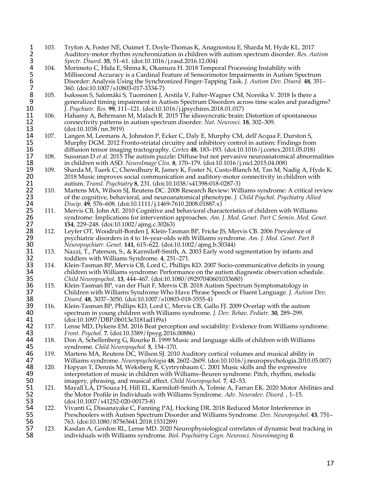- 103. Tryfon A, Foster NE, Ouimet T, Doyle-Thomas K, Anagnostou E, Sharda M, Hyde KL. 2017<br>2 Auditory-motor rhythm synchronization in children with autism spectrum disorder. Res. At<br>3 Spectr. Disord. 35, 51–61. (doi:10.1016 2 Auditory-motor rhythm synchronization in children with autism spectrum disorder. *Res. Autism*
- 3 *Spectr. Disord.* **35**, 51–61. (doi:10.1016/j.rasd.2016.12.004)<br>4 104. Morimoto C, Hida E, Shima K, Okamura H. 2018 Tempo<br>5 Millisecond Accuracy is a Cardinal Feature of Sensorimo Morimoto C, Hida E, Shima K, Okamura H. 2018 Temporal Processing Instability with 5 Millisecond Accuracy is a Cardinal Feature of Sensorimotor Impairments in Autism Spectrum<br>6 Disorder: Analysis Using the Synchronized Finger-Tapping Task. *J. Autism Dev. Disord.* **48**, 351<br>7 360. (doi:10.1007/s10803-017 6 Disorder: Analysis Using the Synchronized Finger-Tapping Task. *J. Autism Dev. Disord.* **48**, 351–
- 7 360. (doi:10.1007/s10803-017-3334-7)<br>8 105. Isaksson S, Salomäki S, Tuominen J, *l*<br>9 generalized timing impairment in Au Isaksson S, Salomäki S, Tuominen J, Arstila V, Falter-Wagner CM, Noreika V. 2018 Is there a 9 generalized timing impairment in Autism Spectrum Disorders across time scales and paradigms?<br>10 *J. Psychiatr. Res.* 99, 111–121. (doi:10.1016/j.jpsychires.2018.01.017) 10 *J. Psychiatr. Res.* **99**, 111–121. (doi:10.1016/j.jpsychires.2018.01.017)
- 11 106. Hahamy A, Behrmann M, Malach R. 2015 The idiosyncratic brain: Distortion of spontaneous<br>12 connectivity patterns in autism spectrum disorder. Nat. Neurosci. 18, 302–309. 12 connectivity patterns in autism spectrum disorder. *Nat. Neurosci.* **18**, 302–309.
- 13 (doi:10.1038/nn.3919)<br>14 107. Langen M, Leemans A 14 107. Langen M, Leemans A, Johnston P, Ecker C, Daly E, Murphy CM, dell'Acqua F, Durston S,<br>15 Murphy DGM. 2012 Fronto-striatal circuitry and inhibitory control in autism: Findings fron 15 Murphy DGM. 2012 Fronto-striatal circuitry and inhibitory control in autism: Findings from<br>16 diffusion tensor imaging tractography. Cortex 48, 183–193. (doi:10.1016/j.cortex.2011.05.018)
- 16 diffusion tensor imaging tractography. *Cortex* 48, 183–193. (doi:10.1016/j.cortex.2011.05.018)<br>17 108. Sussman D *et al.* 2015 The autism puzzle: Diffuse but not pervasive neuroanatomical abnorm 17 108. Sussman D *et al.* 2015 The autism puzzle: Diffuse but not pervasive neuroanatomical abnormalities
- 18 in children with ASD. *NeuroImage Clin.* **8**, 170–179. (doi:10.1016/j.nicl.2015.04.008) 19 109. Sharda M, Tuerk C, Chowdhury R, Jamey K, Foster N, Custo-Blanch M, Tan M, Nadig A, Hyde K.<br>20 2018 Music improves social communication and auditory-motor connectivity in children with 20 2018 Music improves social communication and auditory-motor connectivity in children with<br>21 autism. Transl. Psychiatry 8, 231. (doi:10.1038/s41398-018-0287-3) 21 autism. *Transl. Psychiatry* **8**, 231. (doi:10.1038/s41398-018-0287-3)
- 22 110. Martens MA, Wilson SJ, Reutens DC. 2008 Research Review: Williams syndrome: A critical review 23 of the cognitive, behavioral, and neuroanatomical phenotype. *I. Child Psychol. Psychiatry Allied* 23 of the cognitive, behavioral, and neuroanatomical phenotype. *J. Child Psychol. Psychiatry Allied*
- 24 *Discip.* **49**, 576–608. (doi:10.1111/j.1469-7610.2008.01887.x) 25 111. Mervis CB, John AE. 2010 Cognitive and behavioral characteristics of children with Williams syndrome: Implications for intervention approaches. Am. J. Med. Genet. Part C Semin. Med. Genet. 26 syndrome: Implications for intervention approaches. *Am. J. Med. Genet. Part C Semin. Med. Genet.* 27 **154**, 229–248. (doi:10.1002/ajmg.c.30263)
- 28 112. Leyfer OT, Woodruff-Borden J, Klein-Tasman BP, Fricke JS, Mervis CB. 2006 Prevalence of psychiatric disorders in 4 to 16-year-olds with Williams syndrome. Am. J. Med. Genet. Part E 29 psychiatric disorders in 4 to 16-year-olds with Williams syndrome. *Am. J. Med. Genet. Part B*  30 *Neuropsychiatr. Genet.* **141**, 615–622. (doi:10.1002/ajmg.b.30344)
- 31 113. Nazzi, T., Paterson, S., & Karmiloff-Smith, A. 2003 Early word segmentation by infants and toddlers with Williams Syndrome. 4, 251–271. 32 toddlers with Williams Syndrome. **4**, 251–271.
- 33 114. Klein-Tasman BP, Mervis CB, Lord C, Phillips KD. 2007 Socio-communicative deficits in young<br>34 children with Williams syndrome: Performance on the autism diagnostic observation schedule. 34 children with Williams syndrome: Performance on the autism diagnostic observation schedule.<br>35 Child Neuropsychol. 13, 444–467. (doi:10.1080/09297040601033680) 35 *Child Neuropsychol.* **13**, 444–467. (doi:10.1080/09297040601033680)
- 36 115. Klein-Tasman BP, van der Fluit F, Mervis CB. 2018 Autism Spectrum Symptomatology in 37<br>37 Children with Williams Syndrome Who Have Phrase Speech or Fluent Language. *J. Autisi* 37 Children with Williams Syndrome Who Have Phrase Speech or Fluent Language. *J. Autism Dev.*
- 38 *Disord.* **48**, 3037–3050. (doi:10.1007/s10803-018-3555-4) 39 116. Klein-Tasman BP, Phillips KD, Lord C, Mervis CB, Gallo FJ. 2009 Overlap with the autism spectrum in young children with Williams syndrome. *J. Dev. Behav. Pediatr.* 30, 289–299. 40 spectrum in young children with Williams syndrome. *J. Dev. Behav. Pediatr.* **30**, 289–299. 41 (doi:10.1097/DBP.0b013e3181ad1f9a)
- 42 117. Lense MD, Dykens EM. 2016 Beat perception and sociability: Evidence from Williams syndrome.<br>43 Front. Psychol. 7. (doi:10.3389/fpsyg.2016.00886) 43 *Front. Psychol.* **7**. (doi:10.3389/fpsyg.2016.00886)
- 44 118. Don A, Schellenberg G, Rourke B. 1999 Music and language skills of children with Williams<br>45 syndrome. *Child Neuropsychol*. 5, 154–170. 45 syndrome. *Child Neuropsychol.* **5**, 154–170.
- 46 119. Martens MA, Reutens DC, Wilson SJ. 2010 Auditory cortical volumes and musical ability in<br>47 Williams syndrome. Neuropsychologia 48, 2602–2609. (doi:10.1016/j.neuropsychologia.2010.0) 47 Williams syndrome. *Neuropsychologia* **48**, 2602–2609. (doi:10.1016/j.neuropsychologia.2010.05.007)
- 48 120. Hopyan T, Dennis M, Weksberg R, Cyrtrynbaum C. 2001 Music skills and the expressive 49 interpretation of music in children with Williams–Beuren syndrome: Pitch, rhythm, melodic imagery, phrasing, and musical affect. Child Neuropsychol. 7, 42–53.
- 50 imagery, phrasing, and musical affect. *Child Neuropsychol.* **7**, 42–53. 51 121. Mayall LA, D'Souza H, Hill EL, Karmiloff-Smith A, Tolmie A, Farran EK. 2020 Motor Abilities and<br>52 the Motor Profile in Individuals with Williams Syndrome. Adv. Neurodev. Disord. , 1–15. 52 the Motor Profile in Individuals with Williams Syndrome. *Adv. Neurodev. Disord.* , 1–15.
- 53 (doi:10.1007/s41252-020-00173-8)<br>54 122. Vivanti G, Dissanayake C, Fannir 54 122. Vivanti G, Dissanayake C, Fanning PAJ, Hocking DR. 2018 Reduced Motor Interference in<br>55 Preschoolers with Autism Spectrum Disorder and Williams Syndrome. Dev. Neuropsychol. 4 55 Preschoolers with Autism Spectrum Disorder and Williams Syndrome. *Dev. Neuropsychol.* **43**, 751– 56 763. (doi:10.1080/87565641.2018.1531289)<br>57 123. Kasdan A, Gordon RL, Lense MD. 2020 N
- 57 123. Kasdan A, Gordon RL, Lense MD. 2020 Neurophysiological correlates of dynamic beat tracking in individuals with Williams syndrome. *Biol. Psychiatry Cogn. Neurosci. Neuroimaging* 0. 58 individuals with Williams syndrome. *Biol. Psychiatry Cogn. Neurosci. Neuroimaging* **0**.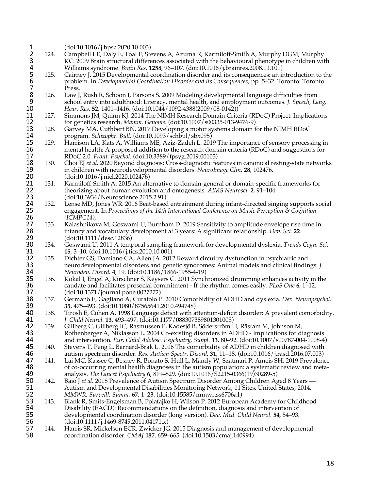1 (doi:10.1016/j.bpsc.2020.10.003)<br>2 124. Campbell LE, Daly E, Toal F, Ste<br>3 KC. 2009 Brain structural differe Campbell LE, Daly E, Toal F, Stevens A, Azuma R, Karmiloff-Smith A, Murphy DGM, Murphy 3 KC. 2009 Brain structural differences associated with the behavioural phenotype in children with<br>
4 Williams syndrome. *Brain Res.* **1258**, 96–107. (doi:10.1016/j.brainres.2008.11.101)<br>
5 125. Cairney J. 2015 Development 4 Williams syndrome. *Brain Res.* **1258**, 96–107. (doi:10.1016/j.brainres.2008.11.101) 5 125. Cairney J. 2015 Developmental coordination disorder and its consequences: an introduction to the 6 problem. In *Developmental Coordination Disorder and its Consequences*, pp. 5–32. Toronto: Toronto 7 Press.<br>8 126. Law J,<br>9 school Law J, Rush R, Schoon I, Parsons S. 2009 Modeling developmental language difficulties from 9 school entry into adulthood: Literacy, mental health, and employment outcomes. *J. Speech, Lang.*  10 *Hear. Res.* **52**, 1401–1416. (doi:10.1044/1092-4388(2009/08-0142)) 11 127. Simmons JM, Quinn KJ. 2014 The NIMH Research Domain Criteria (RDoC) Project: Implications<br>12 for genetics research. *Mamm. Genome.* (doi:10.1007/s00335-013-9476-9) 12 for genetics research. *Mamm. Genome.* (doi:10.1007/s00335-013-9476-9)<br>13 128. Garvey MA, Cuthbert BN. 2017 Developing a motor systems domain f 13 128. Garvey MA, Cuthbert BN. 2017 Developing a motor systems domain for the NIMH RDoC<br>14 program. Schizophr. Bull. (doi:10.1093/schbul/sbx095) 14 program. *Schizophr. Bull.* (doi:10.1093/schbul/sbx095) 15 129. Harrison LA, Kats A, Williams ME, Aziz-Zadeh L. 2019 The importance of sensory processing in mental health: A proposed addition to the research domain criteria (RDoC) and suggestions for 16 mental health: A proposed addition to the research domain criteria (RDoC) and suggestions for 17 RDoC 2.0. *Front. Psychol.* (doi:10.3389/fpsyg.2019.00103) 17 RDoC 2.0. *Front. Psychol.* (doi:10.3389/fpsyg.2019.00103)<br>18 130. Choi EJ et al. 2020 Beyond diagnosis: Cross-diagnostic fear 18 130. Choi EJ *et al.* 2020 Beyond diagnosis: Cross-diagnostic features in canonical resting-state networks 19 in children with neurodevelopmental disorders. *Neurolmage Clin.* **28**, 102476. 19 in children with neurodevelopmental disorders. *NeuroImage Clin.* **28**, 102476. 20 (doi:10.1016/j.nicl.2020.102476)<br>21 131. Karmiloff-Smith A. 2015 An alte 21 131. Karmiloff-Smith A. 2015 An alternative to domain-general or domain-specific frameworks for theorizing about human evolution and ontogenesis. *AIMS Neurosci*. **2**, 91–104. 22 theorizing about human evolution and ontogenesis. *AIMS Neurosci.* **2**, 91–104. 23 (doi:10.3934/Neuroscience.2015.2.91) 24 132. Lense MD, Jones WR. 2016 Beat-based entrainment during infant-directed singing supports social engagement. In *Proceedings of the 14th International Conference on Music Perception & Cognition* 25 engagement. In *Proceedings of the 14th International Conference on Music Perception & Cognition*  26 *(ICMPC14)*, 27 133. Kalashnikova M, Goswami U, Burnham D. 2019 Sensitivity to amplitude envelope rise time in infancy and vocabulary development at 3 years: A significant relationship. *Dev. Sci.* 22. 28 infancy and vocabulary development at 3 years: A significant relationship. *Dev. Sci.* **22**. 29 (doi:10.1111/desc.12836)<br>30 134. Goswami U. 2011 A temp 30 134. Goswami U. 2011 A temporal sampling framework for developmental dyslexia. *Trends Cogn. Sci.* **31 15**, 3–10. (doi:10.1016/j.tics.2010.10.001)<br>**32** 135. Dichter GS, Damiano CA, Allen JA. 201. 32 135. Dichter GS, Damiano CA, Allen JA. 2012 Reward circuitry dysfunction in psychiatric and<br>33 meurodevelopmental disorders and genetic syndromes: Animal models and clinical findir 33 neurodevelopmental disorders and genetic syndromes: Animal models and clinical findings. *J.*  34 *Neurodev. Disord.* **4**, 19. (doi:10.1186/1866-1955-4-19) 35 136. Kokal I, Engel A, Kirschner S, Keysers C. 2011 Synchronized drumming enhances activity in the 36 caudate and facilitates prosocial commitment - If the rhythm comes easily. *PLoS One* 6, 1–12. 36 caudate and facilitates prosocial commitment - If the rhythm comes easily. *PLoS One* **6**, 1–12. 37 (doi:10.1371/journal.pone.0027272) 38 137. Germanò E, Gagliano A, Curatolo P. 2010 Comorbidity of ADHD and dyslexia. *Dev. Neuropsychol.* 39 **35**, 475–493. (doi:10.1080/87565641.2010.494748) 40 138. Tirosh E, Cohen A. 1998 Language deficit with attention-deficit disorder: A prevalent comorbidity.<br>41 *J. Child Neurol.* 13, 493–497. (doi:10.1177/088307389801301005) 41 *J. Child Neurol.* **13**, 493–497. (doi:10.1177/088307389801301005) 42 139. Gillberg C, Gillberg IC, Rasmussen P, Kadesjö B, Söderström H, Råstam M, Johnson M, 43 Rothenberger A, Niklasson L. 2004 Co-existing disorders in ADHD - Implications for diagnosis<br>44 and intervention. *Eur. Child Adolesc. Psychiatry, Suppl.* 13, 80–92. (doi:10.1007/s00787-004-1008-4 44 and intervention. *Eur. Child Adolesc. Psychiatry, Suppl.* **13**, 80–92. (doi:10.1007/s00787-004-1008-4) 45 140. Stevens T, Peng L, Barnard-Brak L. 2016 The comorbidity of ADHD in children diagnosed with<br>46 autism spectrum disorder. Res. Autism Spectr. Disord. 31, 11–18. (doi:10.1016/j.rasd.2016.07.003) 46 autism spectrum disorder. *Res. Autism Spectr. Disord.* **31**, 11–18. (doi:10.1016/j.rasd.2016.07.003) 47 141. Lai MC, Kassee C, Besney R, Bonato S, Hull L, Mandy W, Szatmari P, Ameis SH. 2019 Prevalence<br>48 of co-occurring mental health diagnoses in the autism population: a systematic review and meta-48 of co-occurring mental health diagnoses in the autism population: a systematic review and meta-<br>49 analysis. *The Lancet Psychiatry* 6, 819–829. (doi:10.1016/S2215-0366(19)30289-5) 49 analysis. *The Lancet Psychiatry* **6**, 819–829. (doi:10.1016/S2215-0366(19)30289-5) 50 142. Baio J *et al.* 2018 Prevalence of Autism Spectrum Disorder Among Children Aged 8 Years —<br>51 **Martism and Developmental Disabilities Monitoring Network**, 11 Sites, United States, 2014. 51 Autism and Developmental Disabilities Monitoring Network, 11 Sites, United States, 2014.<br>52 MMWR. Surveill. Summ. 67, 1–23. (doi:10.15585/mmwr.ss6706a1) 52 *MMWR. Surveill. Summ.* **67**, 1–23. (doi:10.15585/mmwr.ss6706a1) 53 143. Blank R, Smits-Engelsman B, Polatajko H, Wilson P. 2012 European Academy for Childhood<br>54 Disability (EACD): Recommendations on the definition, diagnosis and intervention of 54 Disability (EACD): Recommendations on the definition, diagnosis and intervention of developmental coordination disorder (long version). *Dev. Med. Child Neurol.* 54, 54–93. 55 developmental coordination disorder (long version). *Dev. Med. Child Neurol.* **54**, 54–93. 56 (doi:10.1111/j.1469-8749.2011.04171.x) 57 144. Harris SR, Mickelson ECR, Zwicker JG. 2015 Diagnosis and management of developmental<br>58 coordination disorder. CMAJ 187, 659–665. (doi:10.1503/cmaj.140994) 58 coordination disorder. *CMAJ* **187**, 659–665. (doi:10.1503/cmaj.140994)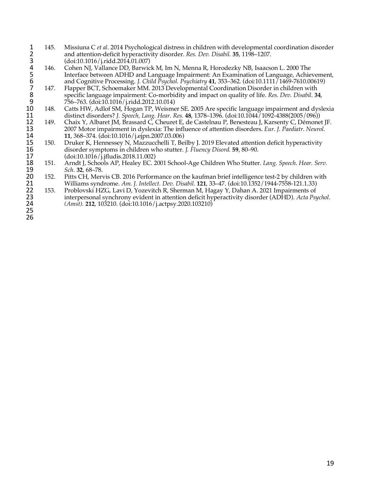- 1 145. Missiuna C *et al.* 2014 Psychological distress in children with developmental coordination disorder<br>2 and attention-deficit hyperactivity disorder. *Res. Dev. Disabil.* **35**, 1198–1207.<br>3 (doi:10.1016/j.ridd.2014.0 2 and attention-deficit hyperactivity disorder. *Res. Dev. Disabil.* **35**, 1198–1207.
- Cohen NJ, Vallance DD, Barwick M, Im N, Menna R, Horodezky NB, Isaacson L. 2000 The 5 Interface between ADHD and Language Impairment: An Examination of Language, Achievement,
- 3 (doi:10.1016/j.ridd.2014.01.007)<br>4 146. Cohen NJ, Vallance DD, Barwic<br>5 Interface between ADHD and L<br>6 and Cognitive Processing. *J. Chi*<br>7 147. Flapper BCT, Schoemaker MM.<br>8 specific language impairment: C<br>9 756–763. ( and Cognitive Processing. *J. Child Psychol. Psychiatry* **41**, 353–362. (doi:10.1111/1469-7610.00619)<br>147. Flapper BCT. Schoemaker MM. 2013 Developmental Coordination Disorder in children with Flapper BCT, Schoemaker MM. 2013 Developmental Coordination Disorder in children with 8 specific language impairment: Co-morbidity and impact on quality of life. *Res. Dev. Disabil.* **34**, 9  $756-763$ . (doi:10.1016/j.ridd.2012.10.014)<br>10 148. Catts HW, Adlof SM, Hogan TP, Weisme
- 10 148. Catts HW, Adlof SM, Hogan TP, Weismer SE. 2005 Are specific language impairment and dyslexia<br>11 distinct disorders? *J. Speech, Lang. Hear. Res.* 48, 1378–1396. (doi:10.1044/1092-4388(2005/096)) 11 distinct disorders? *J. Speech, Lang. Hear. Res.* **48**, 1378–1396. (doi:10.1044/1092-4388(2005/096))
- 12 149. Chaix Y, Albaret JM, Brassard C, Cheuret E, de Castelnau P, Benesteau J, Karsenty C, Démonet JF.<br>13 2007 Motor impairment in dyslexia: The influence of attention disorders. *Eur. J. Paediatr. Neurol.* 13 2007 Motor impairment in dyslexia: The influence of attention disorders. *Eur. J. Paediatr. Neurol.*
- 14 **11**, 368–374. (doi:10.1016/j.ejpn.2007.03.006) 15 150. Druker K, Hennessey N, Mazzucchelli T, Beilby J. 2019 Elevated attention deficit hyperactivity<br>16 disorder symptoms in children who stutter. J. Fluency Disord. 59, 80–90. 16 disorder symptoms in children who stutter. *J. Fluency Disord.* **59**, 80–90. 17 (doi:10.1016/j.jfludis.2018.11.002)<br>18 151. Arndt J, Schools AP, Healey EC. 2
- 18 151. Arndt J, Schools AP, Healey EC. 2001 School-Age Children Who Stutter. *Lang. Speech. Hear. Serv.*
- 19 *Sch.* **32**, 68–78. 20 152. Pitts CH, Mervis CB. 2016 Performance on the kaufman brief intelligence test-2 by children with<br>21 Williams syndrome. Am. J. Intellect. Dev. Disabil. 121, 33–47. (doi:10.1352/1944-7558-121.1.33) 21 Williams syndrome. *Am. J. Intellect. Dev. Disabil.* **121**, 33–47. (doi:10.1352/1944-7558-121.1.33)
- 22 153. Problovski HZG, Lavi D, Yozevitch R, Sherman M, Hagay Y, Dahan A. 2021 Impairments of interpersonal synchrony evident in attention deficit hyperactivity disorder (ADHD). Acta Psu 23 interpersonal synchrony evident in attention deficit hyperactivity disorder (ADHD). *Acta Psychol.* **24** (*Amst*). **212**, 103210. (doi:10.1016/j.actpsy.2020.103210) 24 *(Amst).* **212**, 103210. (doi:10.1016/j.actpsy.2020.103210)
- 25 26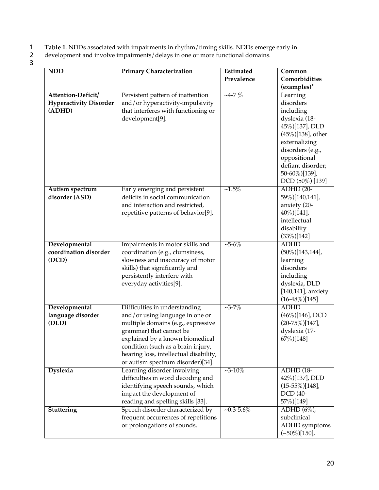- 1 **Table 1.** NDDs associated with impairments in rhythm/timing skills. NDDs emerge early in
- 2 development and involve impairments/delays in one or more functional domains.
- $\begin{array}{c} 1 \\ 2 \\ 3 \end{array}$

| <b>NDD</b>                    | <b>Primary Characterization</b>                                  | Estimated          | Common                          |
|-------------------------------|------------------------------------------------------------------|--------------------|---------------------------------|
|                               |                                                                  | Prevalence         | Comorbidities                   |
|                               |                                                                  |                    | (examples)*                     |
| Attention-Deficit/            | Persistent pattern of inattention                                | $-4-7\%$           | Learning                        |
| <b>Hyperactivity Disorder</b> | and/or hyperactivity-impulsivity                                 |                    | disorders                       |
| (ADHD)                        | that interferes with functioning or                              |                    | including                       |
|                               | development[9].                                                  |                    | dyslexia (18-                   |
|                               |                                                                  |                    | 45%)[137], DLD                  |
|                               |                                                                  |                    | $(45\%)$ [138], other           |
|                               |                                                                  |                    | externalizing                   |
|                               |                                                                  |                    | disorders (e.g.,                |
|                               |                                                                  |                    | oppositional                    |
|                               |                                                                  |                    | defiant disorder;               |
|                               |                                                                  |                    | 50-60%)[139],                   |
|                               |                                                                  |                    | DCD (50%) [139]                 |
| Autism spectrum               | Early emerging and persistent                                    | $~1.5\%$           | <b>ADHD</b> (20-                |
| disorder (ASD)                | deficits in social communication                                 |                    | 59%)[140,141],                  |
|                               | and interaction and restricted,                                  |                    | anxiety (20-                    |
|                               | repetitive patterns of behavior[9].                              |                    | 40%)[141],                      |
|                               |                                                                  |                    | intellectual                    |
|                               |                                                                  |                    | disability                      |
|                               |                                                                  |                    | $(33\%)[142]$                   |
| Developmental                 | Impairments in motor skills and                                  | $~5 - 6\%$         | <b>ADHD</b>                     |
| coordination disorder         | coordination (e.g., clumsiness,                                  |                    | $(50\%)$ [143,144],             |
| (DCD)                         | slowness and inaccuracy of motor                                 |                    | learning                        |
|                               | skills) that significantly and                                   |                    | disorders                       |
|                               | persistently interfere with                                      |                    | including                       |
|                               | everyday activities[9].                                          |                    | dyslexia, DLD                   |
|                               |                                                                  |                    | $[140, 141]$ , anxiety          |
| Developmental                 |                                                                  | $~23 - 7\%$        | $(16-48\%)[145]$<br><b>ADHD</b> |
| language disorder             | Difficulties in understanding<br>and/or using language in one or |                    | $(46\%)$ [146], DCD             |
| (DLD)                         | multiple domains (e.g., expressive                               |                    | $(20-75\%)[147]$ ,              |
|                               | grammar) that cannot be                                          |                    | dyslexia (17-                   |
|                               | explained by a known biomedical                                  |                    | 67%)[148]                       |
|                               | condition (such as a brain injury,                               |                    |                                 |
|                               | hearing loss, intellectual disability,                           |                    |                                 |
|                               | or autism spectrum disorder)[34].                                |                    |                                 |
| <b>Dyslexia</b>               | Learning disorder involving                                      | $-3-10\%$          | <b>ADHD</b> (18-                |
|                               | difficulties in word decoding and                                |                    | 42%)[137], DLD                  |
|                               | identifying speech sounds, which                                 |                    | $(15-55\%)[148]$ ,              |
|                               | impact the development of                                        |                    | DCD (40-                        |
|                               | reading and spelling skills [33].                                |                    | 57%)[149]                       |
| Stuttering                    | Speech disorder characterized by                                 | $\sim 0.3 - 5.6\%$ | $ADHD(6\%)$                     |
|                               | frequent occurrences of repetitions                              |                    | subclinical                     |
|                               | or prolongations of sounds,                                      |                    | ADHD symptoms                   |
|                               |                                                                  |                    | $(-50\%)[150]$ ,                |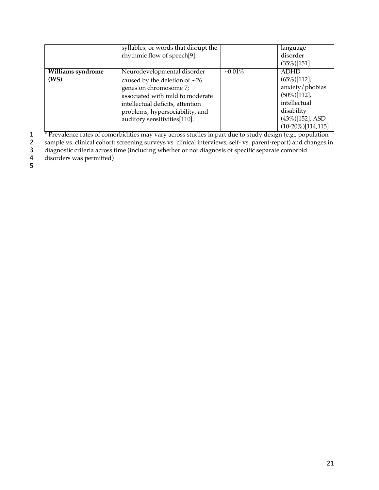|                   | syllables, or words that disrupt the |           | language              |
|-------------------|--------------------------------------|-----------|-----------------------|
|                   | rhythmic flow of speech[9].          |           | disorder              |
|                   |                                      |           | $(35\%)$ [151]        |
| Williams syndrome | Neurodevelopmental disorder          | $-0.01\%$ | <b>ADHD</b>           |
| (WS)              | caused by the deletion of $\sim$ 26  |           | $(65\%)$ [112],       |
|                   | genes on chromosome 7;               |           | anxiety/phobias       |
|                   | associated with mild to moderate     |           | $(50\%)$ [112],       |
|                   | intellectual deficits, attention     |           | intellectual          |
|                   | problems, hypersociability, and      |           | disability            |
|                   | auditory sensitivities[110].         |           | $(43\%)$ [152], ASD   |
|                   |                                      |           | $(10-20\%)$ [114,115] |

\* Prevalence rates of comorbidities may vary across studies in part due to study design (e.g., population sample vs. clinical cohort; screening surveys vs. clinical interviews; self- vs. parent-report) and changes in

sample vs. clinical cohort; screening surveys vs. clinical interviews; self- vs. parent-report) and changes in

diagnostic criteria across time (including whether or not diagnosis of specific separate comorbid

disorders was permitted)

 $\frac{1}{3}$ <br> $\frac{4}{5}$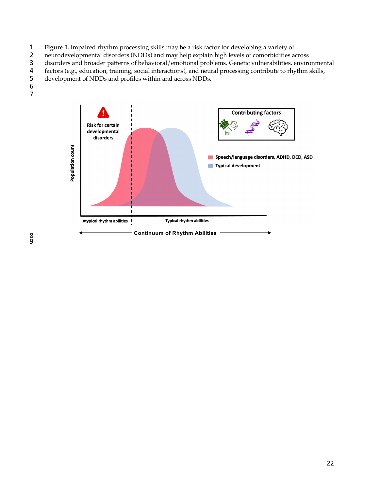- 1 **Figure 1.** Impaired rhythm processing skills may be a risk factor for developing a variety of neurodevelopmental disorders (NDDs) and may help explain high levels of comorbidities a
- 2 neurodevelopmental disorders (NDDs) and may help explain high levels of comorbidities across<br>3 disorders and broader patterns of behavioral/emotional problems. Genetic vulnerabilities, enviro
- 3 disorders and broader patterns of behavioral/emotional problems. Genetic vulnerabilities, environmental factors (e.g., education, training, social interactions), and neural processing contribute to rhythm skills,
- factors (e.g., education, training, social interactions), and neural processing contribute to rhythm skills,
- development of NDDs and profiles within and across NDDs.  $\frac{5}{6}$
- 7